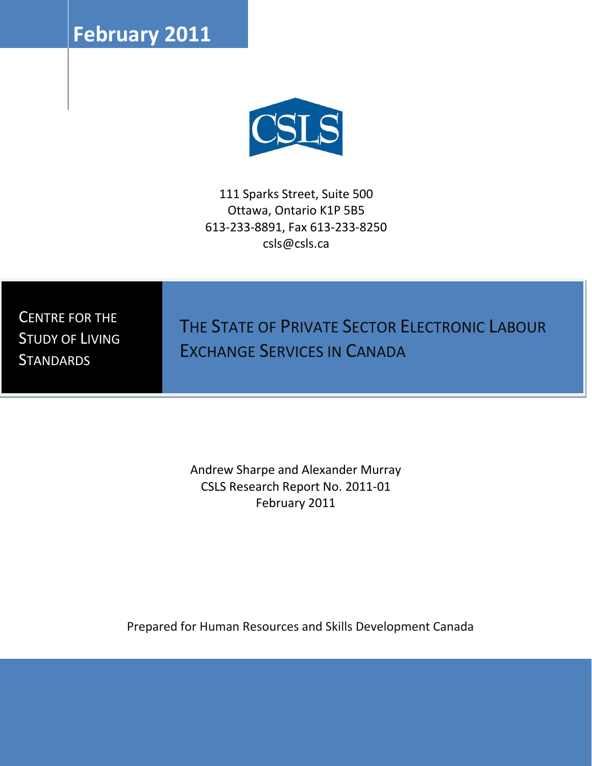**February** 2011



111 Sparks Street, Suite 500 Ottawa, Ontario K1P 5B5 613-233-8891, Fax 613-233-8250 csls@csls.ca

CENTRE FOR THE STUDY OF LIVING **STANDARDS** 

THE STATE OF PRIVATE SECTOR ELECTRONIC LABOUR EXCHANGE SERVICES IN CANADA

Andrew Sharpe and Alexander Murray CSLS Research Report No. 2011-01 February 2011

Prepared for Human Resources and Skills Development Canada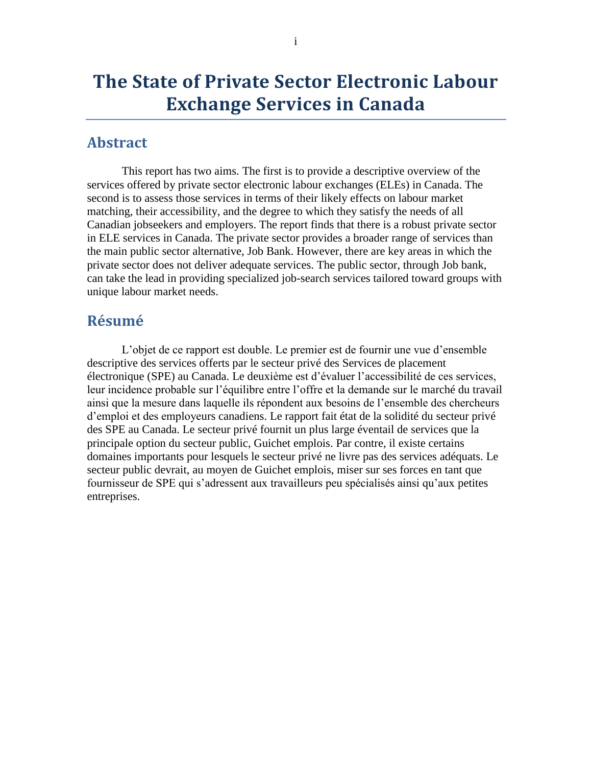# **The State of Private Sector Electronic Labour Exchange Services in Canada**

## <span id="page-1-0"></span>**Abstract**

This report has two aims. The first is to provide a descriptive overview of the services offered by private sector electronic labour exchanges (ELEs) in Canada. The second is to assess those services in terms of their likely effects on labour market matching, their accessibility, and the degree to which they satisfy the needs of all Canadian jobseekers and employers. The report finds that there is a robust private sector in ELE services in Canada. The private sector provides a broader range of services than the main public sector alternative, Job Bank. However, there are key areas in which the private sector does not deliver adequate services. The public sector, through Job bank, can take the lead in providing specialized job-search services tailored toward groups with unique labour market needs.

# <span id="page-1-1"></span>**Résumé**

L"objet de ce rapport est double. Le premier est de fournir une vue d"ensemble descriptive des services offerts par le secteur privé des Services de placement électronique (SPE) au Canada. Le deuxième est d"évaluer l"accessibilité de ces services, leur incidence probable sur l"équilibre entre l"offre et la demande sur le marché du travail ainsi que la mesure dans laquelle ils répondent aux besoins de l"ensemble des chercheurs d"emploi et des employeurs canadiens. Le rapport fait état de la solidité du secteur privé des SPE au Canada. Le secteur privé fournit un plus large éventail de services que la principale option du secteur public, Guichet emplois. Par contre, il existe certains domaines importants pour lesquels le secteur privé ne livre pas des services adéquats. Le secteur public devrait, au moyen de Guichet emplois, miser sur ses forces en tant que fournisseur de SPE qui s"adressent aux travailleurs peu spécialisés ainsi qu"aux petites entreprises.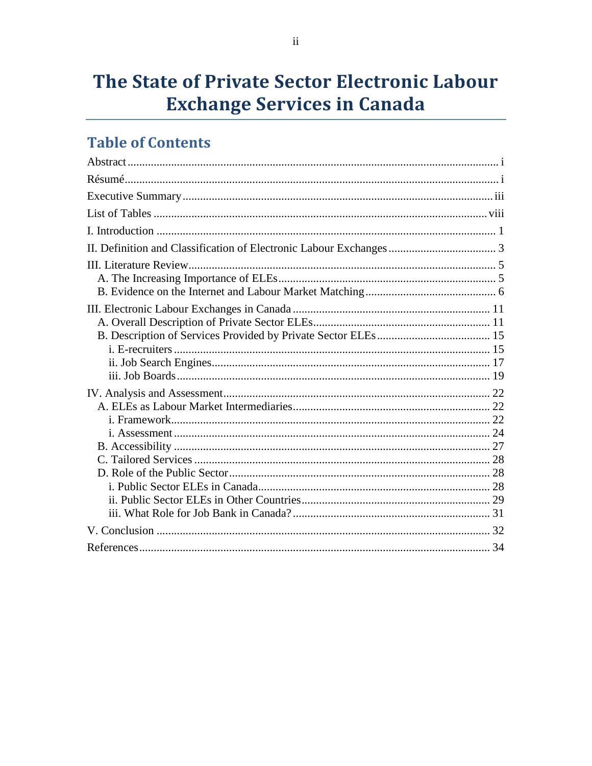# The State of Private Sector Electronic Labour **Exchange Services in Canada**

# **Table of Contents**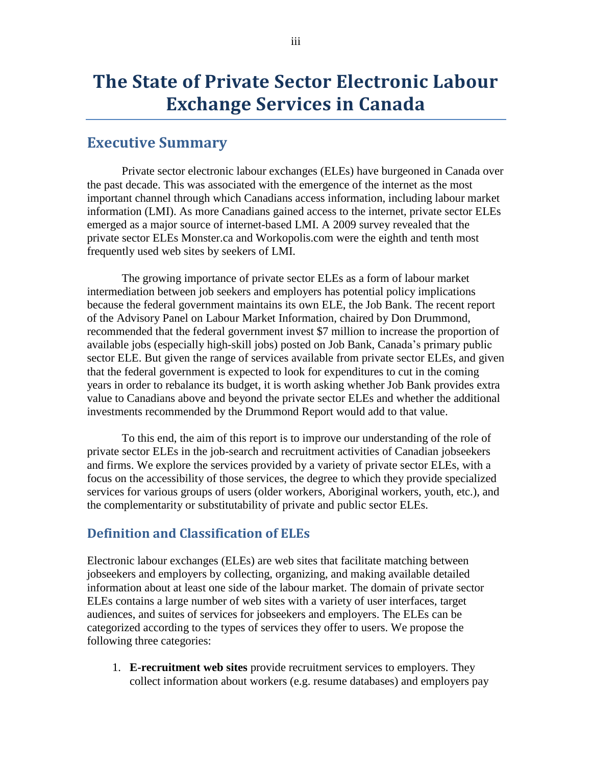# **The State of Private Sector Electronic Labour Exchange Services in Canada**

## <span id="page-3-0"></span>**Executive Summary**

Private sector electronic labour exchanges (ELEs) have burgeoned in Canada over the past decade. This was associated with the emergence of the internet as the most important channel through which Canadians access information, including labour market information (LMI). As more Canadians gained access to the internet, private sector ELEs emerged as a major source of internet-based LMI. A 2009 survey revealed that the private sector ELEs Monster.ca and Workopolis.com were the eighth and tenth most frequently used web sites by seekers of LMI.

The growing importance of private sector ELEs as a form of labour market intermediation between job seekers and employers has potential policy implications because the federal government maintains its own ELE, the Job Bank. The recent report of the Advisory Panel on Labour Market Information, chaired by Don Drummond, recommended that the federal government invest \$7 million to increase the proportion of available jobs (especially high-skill jobs) posted on Job Bank, Canada"s primary public sector ELE. But given the range of services available from private sector ELEs, and given that the federal government is expected to look for expenditures to cut in the coming years in order to rebalance its budget, it is worth asking whether Job Bank provides extra value to Canadians above and beyond the private sector ELEs and whether the additional investments recommended by the Drummond Report would add to that value.

To this end, the aim of this report is to improve our understanding of the role of private sector ELEs in the job-search and recruitment activities of Canadian jobseekers and firms. We explore the services provided by a variety of private sector ELEs, with a focus on the accessibility of those services, the degree to which they provide specialized services for various groups of users (older workers, Aboriginal workers, youth, etc.), and the complementarity or substitutability of private and public sector ELEs.

#### **Definition and Classification of ELEs**

Electronic labour exchanges (ELEs) are web sites that facilitate matching between jobseekers and employers by collecting, organizing, and making available detailed information about at least one side of the labour market. The domain of private sector ELEs contains a large number of web sites with a variety of user interfaces, target audiences, and suites of services for jobseekers and employers. The ELEs can be categorized according to the types of services they offer to users. We propose the following three categories:

1. **E-recruitment web sites** provide recruitment services to employers. They collect information about workers (e.g. resume databases) and employers pay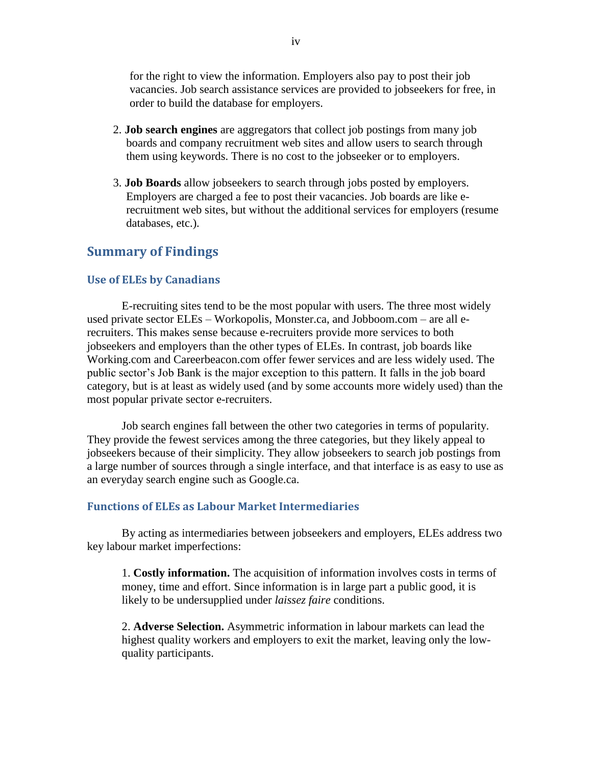for the right to view the information. Employers also pay to post their job vacancies. Job search assistance services are provided to jobseekers for free, in order to build the database for employers.

- 2. **Job search engines** are aggregators that collect job postings from many job boards and company recruitment web sites and allow users to search through them using keywords. There is no cost to the jobseeker or to employers.
- 3. **Job Boards** allow jobseekers to search through jobs posted by employers. Employers are charged a fee to post their vacancies. Job boards are like erecruitment web sites, but without the additional services for employers (resume databases, etc.).

## **Summary of Findings**

#### **Use of ELEs by Canadians**

E-recruiting sites tend to be the most popular with users. The three most widely used private sector ELEs – Workopolis, Monster.ca, and Jobboom.com – are all erecruiters. This makes sense because e-recruiters provide more services to both jobseekers and employers than the other types of ELEs. In contrast, job boards like Working.com and Careerbeacon.com offer fewer services and are less widely used. The public sector"s Job Bank is the major exception to this pattern. It falls in the job board category, but is at least as widely used (and by some accounts more widely used) than the most popular private sector e-recruiters.

Job search engines fall between the other two categories in terms of popularity. They provide the fewest services among the three categories, but they likely appeal to jobseekers because of their simplicity. They allow jobseekers to search job postings from a large number of sources through a single interface, and that interface is as easy to use as an everyday search engine such as Google.ca.

#### **Functions of ELEs as Labour Market Intermediaries**

By acting as intermediaries between jobseekers and employers, ELEs address two key labour market imperfections:

1. **Costly information.** The acquisition of information involves costs in terms of money, time and effort. Since information is in large part a public good, it is likely to be undersupplied under *laissez faire* conditions.

2. **Adverse Selection.** Asymmetric information in labour markets can lead the highest quality workers and employers to exit the market, leaving only the lowquality participants.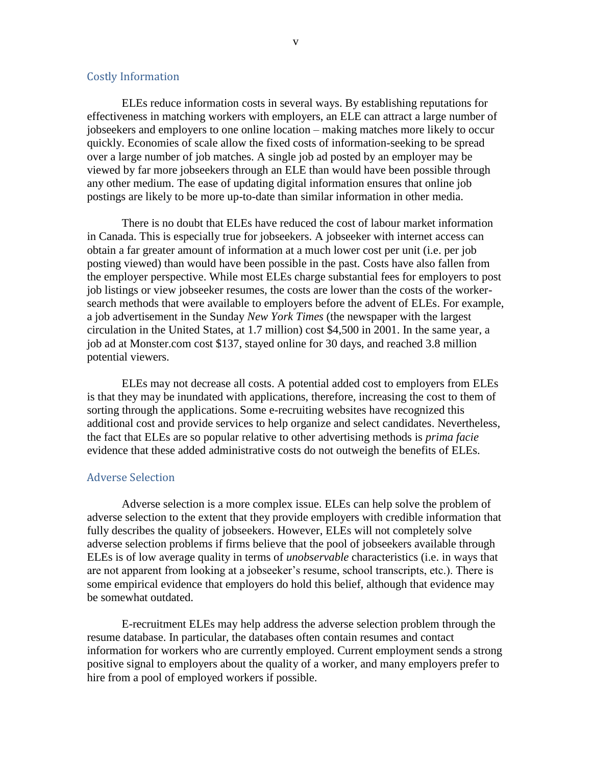#### Costly Information

ELEs reduce information costs in several ways. By establishing reputations for effectiveness in matching workers with employers, an ELE can attract a large number of jobseekers and employers to one online location – making matches more likely to occur quickly. Economies of scale allow the fixed costs of information-seeking to be spread over a large number of job matches. A single job ad posted by an employer may be viewed by far more jobseekers through an ELE than would have been possible through any other medium. The ease of updating digital information ensures that online job postings are likely to be more up-to-date than similar information in other media.

There is no doubt that ELEs have reduced the cost of labour market information in Canada. This is especially true for jobseekers. A jobseeker with internet access can obtain a far greater amount of information at a much lower cost per unit (i.e. per job posting viewed) than would have been possible in the past. Costs have also fallen from the employer perspective. While most ELEs charge substantial fees for employers to post job listings or view jobseeker resumes, the costs are lower than the costs of the workersearch methods that were available to employers before the advent of ELEs. For example, a job advertisement in the Sunday *New York Times* (the newspaper with the largest circulation in the United States, at 1.7 million) cost \$4,500 in 2001. In the same year, a job ad at Monster.com cost \$137, stayed online for 30 days, and reached 3.8 million potential viewers.

ELEs may not decrease all costs. A potential added cost to employers from ELEs is that they may be inundated with applications, therefore, increasing the cost to them of sorting through the applications. Some e-recruiting websites have recognized this additional cost and provide services to help organize and select candidates. Nevertheless, the fact that ELEs are so popular relative to other advertising methods is *prima facie* evidence that these added administrative costs do not outweigh the benefits of ELEs.

#### Adverse Selection

Adverse selection is a more complex issue. ELEs can help solve the problem of adverse selection to the extent that they provide employers with credible information that fully describes the quality of jobseekers. However, ELEs will not completely solve adverse selection problems if firms believe that the pool of jobseekers available through ELEs is of low average quality in terms of *unobservable* characteristics (i.e. in ways that are not apparent from looking at a jobseeker"s resume, school transcripts, etc.). There is some empirical evidence that employers do hold this belief, although that evidence may be somewhat outdated.

E-recruitment ELEs may help address the adverse selection problem through the resume database. In particular, the databases often contain resumes and contact information for workers who are currently employed. Current employment sends a strong positive signal to employers about the quality of a worker, and many employers prefer to hire from a pool of employed workers if possible.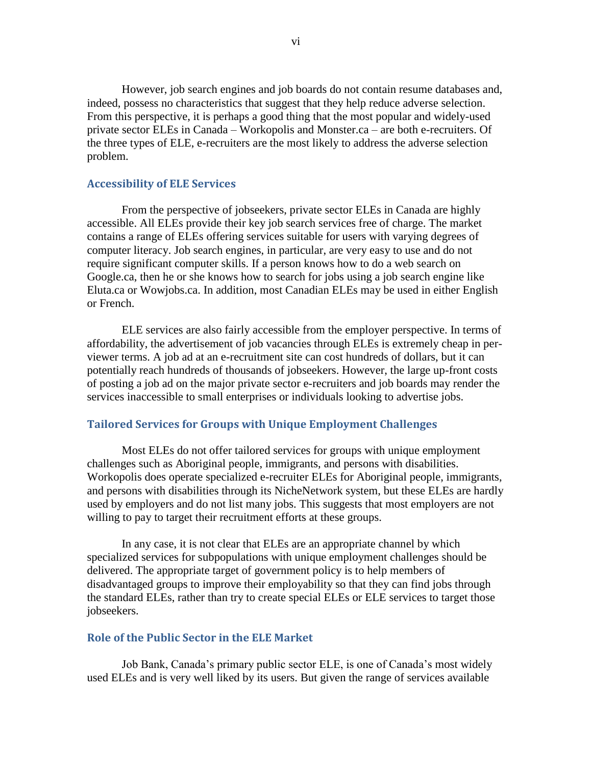However, job search engines and job boards do not contain resume databases and, indeed, possess no characteristics that suggest that they help reduce adverse selection. From this perspective, it is perhaps a good thing that the most popular and widely-used private sector ELEs in Canada – Workopolis and Monster.ca – are both e-recruiters. Of the three types of ELE, e-recruiters are the most likely to address the adverse selection problem.

#### **Accessibility of ELE Services**

From the perspective of jobseekers, private sector ELEs in Canada are highly accessible. All ELEs provide their key job search services free of charge. The market contains a range of ELEs offering services suitable for users with varying degrees of computer literacy. Job search engines, in particular, are very easy to use and do not require significant computer skills. If a person knows how to do a web search on Google.ca, then he or she knows how to search for jobs using a job search engine like Eluta.ca or Wowjobs.ca. In addition, most Canadian ELEs may be used in either English or French.

ELE services are also fairly accessible from the employer perspective. In terms of affordability, the advertisement of job vacancies through ELEs is extremely cheap in perviewer terms. A job ad at an e-recruitment site can cost hundreds of dollars, but it can potentially reach hundreds of thousands of jobseekers. However, the large up-front costs of posting a job ad on the major private sector e-recruiters and job boards may render the services inaccessible to small enterprises or individuals looking to advertise jobs.

#### **Tailored Services for Groups with Unique Employment Challenges**

Most ELEs do not offer tailored services for groups with unique employment challenges such as Aboriginal people, immigrants, and persons with disabilities. Workopolis does operate specialized e-recruiter ELEs for Aboriginal people, immigrants, and persons with disabilities through its NicheNetwork system, but these ELEs are hardly used by employers and do not list many jobs. This suggests that most employers are not willing to pay to target their recruitment efforts at these groups.

In any case, it is not clear that ELEs are an appropriate channel by which specialized services for subpopulations with unique employment challenges should be delivered. The appropriate target of government policy is to help members of disadvantaged groups to improve their employability so that they can find jobs through the standard ELEs, rather than try to create special ELEs or ELE services to target those jobseekers.

#### **Role of the Public Sector in the ELE Market**

Job Bank, Canada"s primary public sector ELE, is one of Canada"s most widely used ELEs and is very well liked by its users. But given the range of services available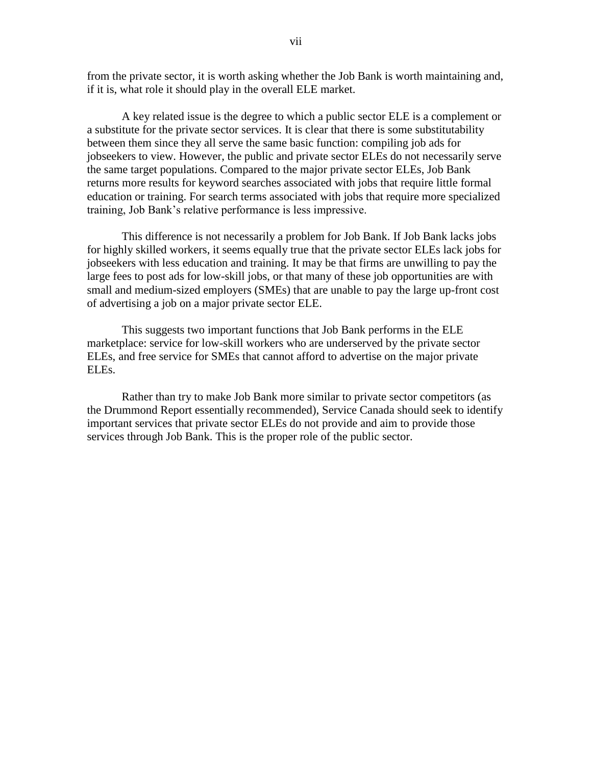from the private sector, it is worth asking whether the Job Bank is worth maintaining and, if it is, what role it should play in the overall ELE market.

A key related issue is the degree to which a public sector ELE is a complement or a substitute for the private sector services. It is clear that there is some substitutability between them since they all serve the same basic function: compiling job ads for jobseekers to view. However, the public and private sector ELEs do not necessarily serve the same target populations. Compared to the major private sector ELEs, Job Bank returns more results for keyword searches associated with jobs that require little formal education or training. For search terms associated with jobs that require more specialized training, Job Bank"s relative performance is less impressive.

This difference is not necessarily a problem for Job Bank. If Job Bank lacks jobs for highly skilled workers, it seems equally true that the private sector ELEs lack jobs for jobseekers with less education and training. It may be that firms are unwilling to pay the large fees to post ads for low-skill jobs, or that many of these job opportunities are with small and medium-sized employers (SMEs) that are unable to pay the large up-front cost of advertising a job on a major private sector ELE.

This suggests two important functions that Job Bank performs in the ELE marketplace: service for low-skill workers who are underserved by the private sector ELEs, and free service for SMEs that cannot afford to advertise on the major private ELEs.

Rather than try to make Job Bank more similar to private sector competitors (as the Drummond Report essentially recommended), Service Canada should seek to identify important services that private sector ELEs do not provide and aim to provide those services through Job Bank. This is the proper role of the public sector.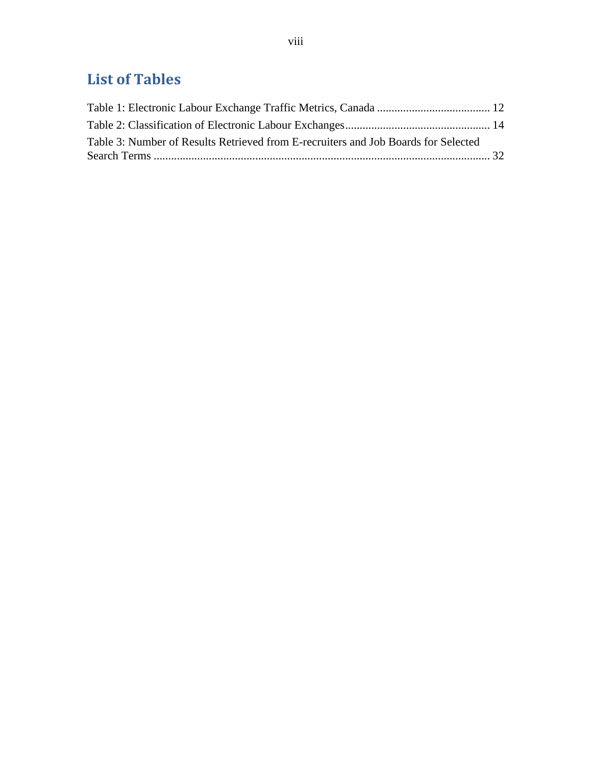# <span id="page-8-0"></span>**List of Tables**

| Table 3: Number of Results Retrieved from E-recruiters and Job Boards for Selected |  |
|------------------------------------------------------------------------------------|--|
|                                                                                    |  |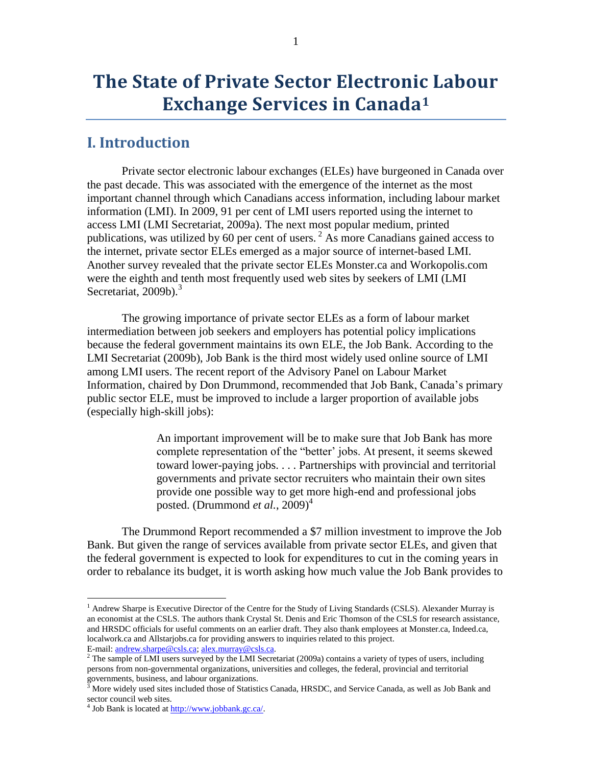# **The State of Private Sector Electronic Labour Exchange Services in Canada<sup>1</sup>**

# <span id="page-9-0"></span>**I. Introduction**

Private sector electronic labour exchanges (ELEs) have burgeoned in Canada over the past decade. This was associated with the emergence of the internet as the most important channel through which Canadians access information, including labour market information (LMI). In 2009, 91 per cent of LMI users reported using the internet to access LMI (LMI Secretariat, 2009a). The next most popular medium, printed publications, was utilized by 60 per cent of users. <sup>2</sup> As more Canadians gained access to the internet, private sector ELEs emerged as a major source of internet-based LMI. Another survey revealed that the private sector ELEs Monster.ca and Workopolis.com were the eighth and tenth most frequently used web sites by seekers of LMI (LMI Secretariat,  $2009b$ ).<sup>3</sup>

The growing importance of private sector ELEs as a form of labour market intermediation between job seekers and employers has potential policy implications because the federal government maintains its own ELE, the Job Bank. According to the LMI Secretariat (2009b), Job Bank is the third most widely used online source of LMI among LMI users. The recent report of the Advisory Panel on Labour Market Information, chaired by Don Drummond, recommended that Job Bank, Canada"s primary public sector ELE, must be improved to include a larger proportion of available jobs (especially high-skill jobs):

> An important improvement will be to make sure that Job Bank has more complete representation of the "better" jobs. At present, it seems skewed toward lower-paying jobs. . . . Partnerships with provincial and territorial governments and private sector recruiters who maintain their own sites provide one possible way to get more high-end and professional jobs posted. (Drummond *et al.*, 2009)<sup>4</sup>

The Drummond Report recommended a \$7 million investment to improve the Job Bank. But given the range of services available from private sector ELEs, and given that the federal government is expected to look for expenditures to cut in the coming years in order to rebalance its budget, it is worth asking how much value the Job Bank provides to

<sup>&</sup>lt;sup>1</sup> Andrew Sharpe is Executive Director of the Centre for the Study of Living Standards (CSLS). Alexander Murray is an economist at the CSLS. The authors thank Crystal St. Denis and Eric Thomson of the CSLS for research assistance, and HRSDC officials for useful comments on an earlier draft. They also thank employees at Monster.ca, Indeed.ca, localwork.ca and Allstarjobs.ca for providing answers to inquiries related to this project. E-mail: [andrew.sharpe@csls.ca;](mailto:andrew.sharpe@csls.ca) [alex.murray@csls.ca.](mailto:alex.murray@csls.ca) 

<sup>&</sup>lt;sup>2</sup> The sample of LMI users surveyed by the LMI Secretariat (2009a) contains a variety of types of users, including persons from non-governmental organizations, universities and colleges, the federal, provincial and territorial governments, business, and labour organizations.

 $3$  More widely used sites included those of Statistics Canada, HRSDC, and Service Canada, as well as Job Bank and sector council web sites.

 $4$  Job Bank is located at  $\frac{http://www.jobbank.gc.ca/}{http://www.jobbank.gc.ca/}.$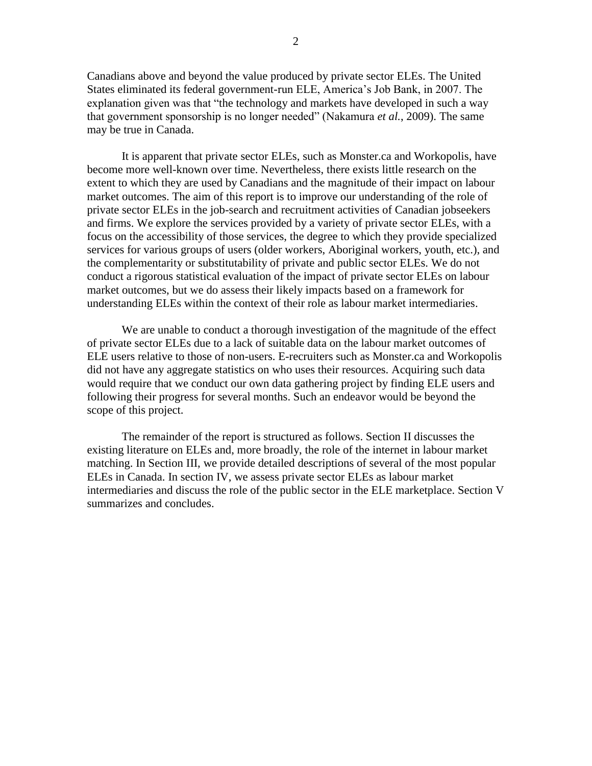Canadians above and beyond the value produced by private sector ELEs. The United States eliminated its federal government-run ELE, America"s Job Bank, in 2007. The explanation given was that "the technology and markets have developed in such a way that government sponsorship is no longer needed" (Nakamura *et al.*, 2009). The same may be true in Canada.

It is apparent that private sector ELEs, such as Monster.ca and Workopolis, have become more well-known over time. Nevertheless, there exists little research on the extent to which they are used by Canadians and the magnitude of their impact on labour market outcomes. The aim of this report is to improve our understanding of the role of private sector ELEs in the job-search and recruitment activities of Canadian jobseekers and firms. We explore the services provided by a variety of private sector ELEs, with a focus on the accessibility of those services, the degree to which they provide specialized services for various groups of users (older workers, Aboriginal workers, youth, etc.), and the complementarity or substitutability of private and public sector ELEs. We do not conduct a rigorous statistical evaluation of the impact of private sector ELEs on labour market outcomes, but we do assess their likely impacts based on a framework for understanding ELEs within the context of their role as labour market intermediaries.

We are unable to conduct a thorough investigation of the magnitude of the effect of private sector ELEs due to a lack of suitable data on the labour market outcomes of ELE users relative to those of non-users. E-recruiters such as Monster.ca and Workopolis did not have any aggregate statistics on who uses their resources. Acquiring such data would require that we conduct our own data gathering project by finding ELE users and following their progress for several months. Such an endeavor would be beyond the scope of this project.

The remainder of the report is structured as follows. Section II discusses the existing literature on ELEs and, more broadly, the role of the internet in labour market matching. In Section III, we provide detailed descriptions of several of the most popular ELEs in Canada. In section IV, we assess private sector ELEs as labour market intermediaries and discuss the role of the public sector in the ELE marketplace. Section V summarizes and concludes.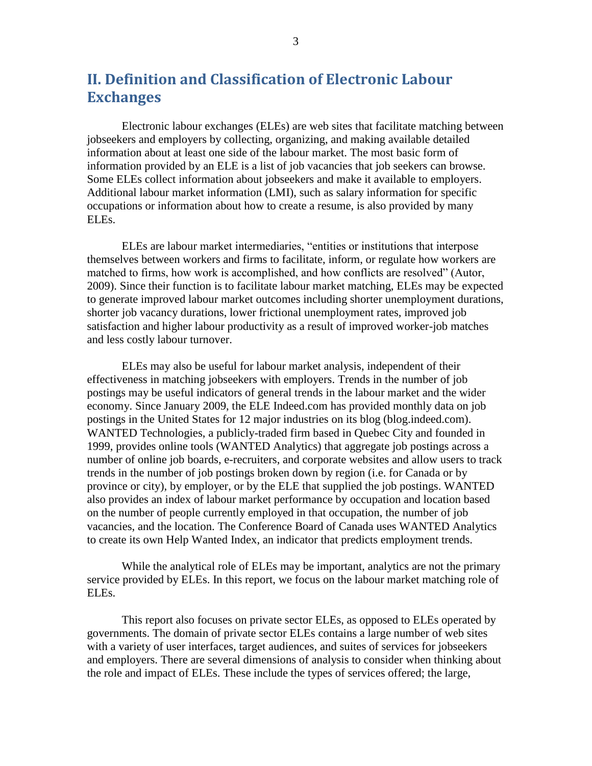# <span id="page-11-0"></span>**II. Definition and Classification of Electronic Labour Exchanges**

Electronic labour exchanges (ELEs) are web sites that facilitate matching between jobseekers and employers by collecting, organizing, and making available detailed information about at least one side of the labour market. The most basic form of information provided by an ELE is a list of job vacancies that job seekers can browse. Some ELEs collect information about jobseekers and make it available to employers. Additional labour market information (LMI), such as salary information for specific occupations or information about how to create a resume, is also provided by many ELEs.

ELEs are labour market intermediaries, "entities or institutions that interpose themselves between workers and firms to facilitate, inform, or regulate how workers are matched to firms, how work is accomplished, and how conflicts are resolved" (Autor, 2009). Since their function is to facilitate labour market matching, ELEs may be expected to generate improved labour market outcomes including shorter unemployment durations, shorter job vacancy durations, lower frictional unemployment rates, improved job satisfaction and higher labour productivity as a result of improved worker-job matches and less costly labour turnover.

ELEs may also be useful for labour market analysis, independent of their effectiveness in matching jobseekers with employers. Trends in the number of job postings may be useful indicators of general trends in the labour market and the wider economy. Since January 2009, the ELE Indeed.com has provided monthly data on job postings in the United States for 12 major industries on its blog (blog.indeed.com). WANTED Technologies, a publicly-traded firm based in Quebec City and founded in 1999, provides online tools (WANTED Analytics) that aggregate job postings across a number of online job boards, e-recruiters, and corporate websites and allow users to track trends in the number of job postings broken down by region (i.e. for Canada or by province or city), by employer, or by the ELE that supplied the job postings. WANTED also provides an index of labour market performance by occupation and location based on the number of people currently employed in that occupation, the number of job vacancies, and the location. The Conference Board of Canada uses WANTED Analytics to create its own Help Wanted Index, an indicator that predicts employment trends.

While the analytical role of ELEs may be important, analytics are not the primary service provided by ELEs. In this report, we focus on the labour market matching role of ELEs.

This report also focuses on private sector ELEs, as opposed to ELEs operated by governments. The domain of private sector ELEs contains a large number of web sites with a variety of user interfaces, target audiences, and suites of services for jobseekers and employers. There are several dimensions of analysis to consider when thinking about the role and impact of ELEs. These include the types of services offered; the large,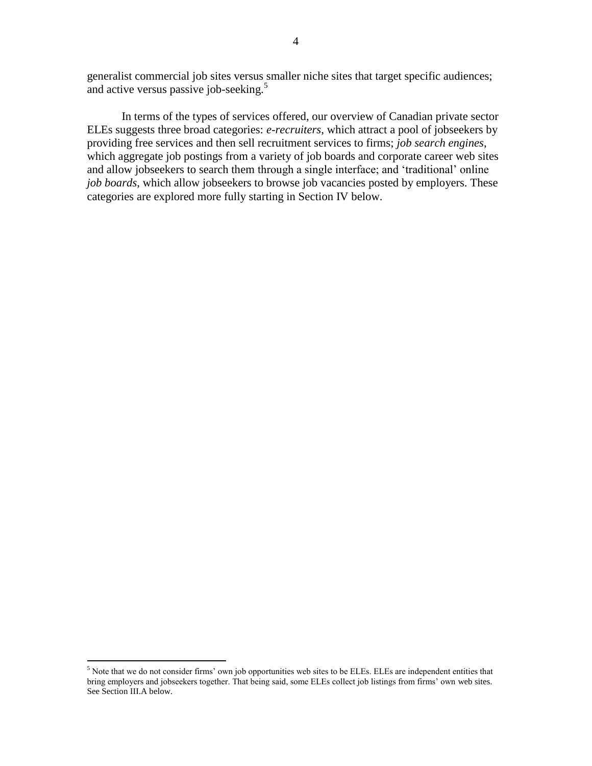generalist commercial job sites versus smaller niche sites that target specific audiences; and active versus passive job-seeking.<sup>5</sup>

In terms of the types of services offered, our overview of Canadian private sector ELEs suggests three broad categories: *e-recruiters*, which attract a pool of jobseekers by providing free services and then sell recruitment services to firms; *job search engines*, which aggregate job postings from a variety of job boards and corporate career web sites and allow jobseekers to search them through a single interface; and "traditional" online *job boards*, which allow jobseekers to browse job vacancies posted by employers. These categories are explored more fully starting in Section IV below.

<sup>&</sup>lt;sup>5</sup> Note that we do not consider firms' own job opportunities web sites to be ELEs. ELEs are independent entities that bring employers and jobseekers together. That being said, some ELEs collect job listings from firms" own web sites. See Section III.A below.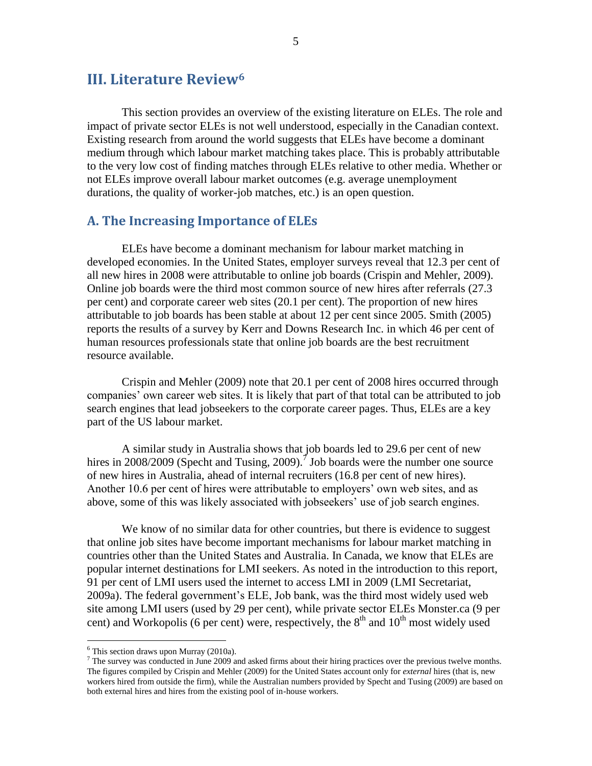# <span id="page-13-0"></span>**III. Literature Review<sup>6</sup>**

This section provides an overview of the existing literature on ELEs. The role and impact of private sector ELEs is not well understood, especially in the Canadian context. Existing research from around the world suggests that ELEs have become a dominant medium through which labour market matching takes place. This is probably attributable to the very low cost of finding matches through ELEs relative to other media. Whether or not ELEs improve overall labour market outcomes (e.g. average unemployment durations, the quality of worker-job matches, etc.) is an open question.

#### <span id="page-13-1"></span>**A. The Increasing Importance of ELEs**

ELEs have become a dominant mechanism for labour market matching in developed economies. In the United States, employer surveys reveal that 12.3 per cent of all new hires in 2008 were attributable to online job boards (Crispin and Mehler, 2009). Online job boards were the third most common source of new hires after referrals (27.3 per cent) and corporate career web sites (20.1 per cent). The proportion of new hires attributable to job boards has been stable at about 12 per cent since 2005. Smith (2005) reports the results of a survey by Kerr and Downs Research Inc. in which 46 per cent of human resources professionals state that online job boards are the best recruitment resource available.

Crispin and Mehler (2009) note that 20.1 per cent of 2008 hires occurred through companies" own career web sites. It is likely that part of that total can be attributed to job search engines that lead jobseekers to the corporate career pages. Thus, ELEs are a key part of the US labour market.

A similar study in Australia shows that job boards led to 29.6 per cent of new hires in 2008/2009 (Specht and Tusing, 2009).<sup> $\vec{\tau}$ </sup> Job boards were the number one source of new hires in Australia, ahead of internal recruiters (16.8 per cent of new hires). Another 10.6 per cent of hires were attributable to employers' own web sites, and as above, some of this was likely associated with jobseekers' use of job search engines.

We know of no similar data for other countries, but there is evidence to suggest that online job sites have become important mechanisms for labour market matching in countries other than the United States and Australia. In Canada, we know that ELEs are popular internet destinations for LMI seekers. As noted in the introduction to this report, 91 per cent of LMI users used the internet to access LMI in 2009 (LMI Secretariat, 2009a). The federal government"s ELE, Job bank, was the third most widely used web site among LMI users (used by 29 per cent), while private sector ELEs Monster.ca (9 per cent) and Workopolis (6 per cent) were, respectively, the  $8<sup>th</sup>$  and  $10<sup>th</sup>$  most widely used

 $6$  This section draws upon Murray (2010a).

 $<sup>7</sup>$  The survey was conducted in June 2009 and asked firms about their hiring practices over the previous twelve months.</sup> The figures compiled by Crispin and Mehler (2009) for the United States account only for *external* hires (that is, new workers hired from outside the firm), while the Australian numbers provided by Specht and Tusing (2009) are based on both external hires and hires from the existing pool of in-house workers.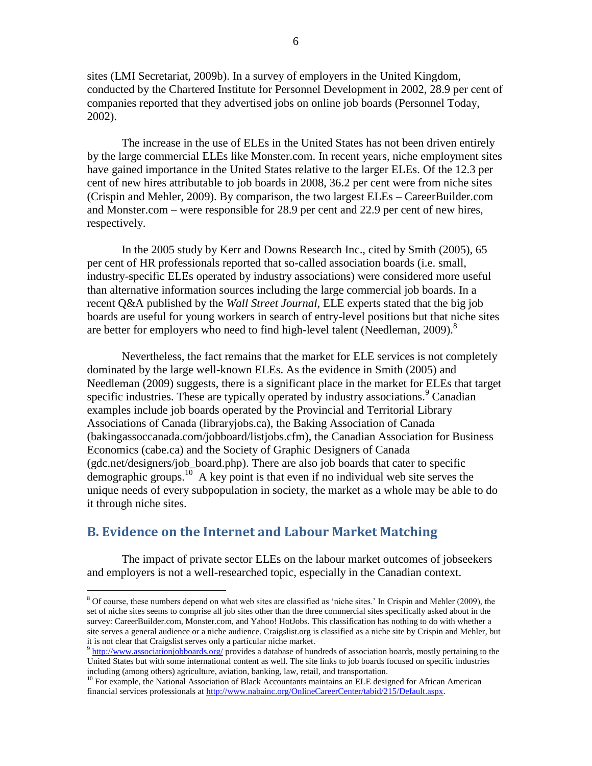sites (LMI Secretariat, 2009b). In a survey of employers in the United Kingdom, conducted by the Chartered Institute for Personnel Development in 2002, 28.9 per cent of companies reported that they advertised jobs on online job boards (Personnel Today, 2002).

The increase in the use of ELEs in the United States has not been driven entirely by the large commercial ELEs like Monster.com. In recent years, niche employment sites have gained importance in the United States relative to the larger ELEs. Of the 12.3 per cent of new hires attributable to job boards in 2008, 36.2 per cent were from niche sites (Crispin and Mehler, 2009). By comparison, the two largest ELEs – CareerBuilder.com and Monster.com – were responsible for 28.9 per cent and 22.9 per cent of new hires, respectively.

In the 2005 study by Kerr and Downs Research Inc., cited by Smith (2005), 65 per cent of HR professionals reported that so-called association boards (i.e. small, industry-specific ELEs operated by industry associations) were considered more useful than alternative information sources including the large commercial job boards. In a recent Q&A published by the *Wall Street Journal*, ELE experts stated that the big job boards are useful for young workers in search of entry-level positions but that niche sites are better for employers who need to find high-level talent (Needleman, 2009).<sup>8</sup>

Nevertheless, the fact remains that the market for ELE services is not completely dominated by the large well-known ELEs. As the evidence in Smith (2005) and Needleman (2009) suggests, there is a significant place in the market for ELEs that target specific industries. These are typically operated by industry associations.<sup>9</sup> Canadian examples include job boards operated by the Provincial and Territorial Library Associations of Canada (libraryjobs.ca), the Baking Association of Canada (bakingassoccanada.com/jobboard/listjobs.cfm), the Canadian Association for Business Economics (cabe.ca) and the Society of Graphic Designers of Canada (gdc.net/designers/job\_board.php). There are also job boards that cater to specific demographic groups.<sup>10</sup> A key point is that even if no individual web site serves the unique needs of every subpopulation in society, the market as a whole may be able to do it through niche sites.

## <span id="page-14-0"></span>**B. Evidence on the Internet and Labour Market Matching**

 $\overline{a}$ 

The impact of private sector ELEs on the labour market outcomes of jobseekers and employers is not a well-researched topic, especially in the Canadian context.

<sup>&</sup>lt;sup>8</sup> Of course, these numbers depend on what web sites are classified as 'niche sites.' In Crispin and Mehler (2009), the set of niche sites seems to comprise all job sites other than the three commercial sites specifically asked about in the survey: CareerBuilder.com, Monster.com, and Yahoo! HotJobs. This classification has nothing to do with whether a site serves a general audience or a niche audience. Craigslist.org is classified as a niche site by Crispin and Mehler, but it is not clear that Craigslist serves only a particular niche market.

<sup>&</sup>lt;sup>9</sup> <http://www.associationjobboards.org/> provides a database of hundreds of association boards, mostly pertaining to the United States but with some international content as well. The site links to job boards focused on specific industries including (among others) agriculture, aviation, banking, law, retail, and transportation.

<sup>&</sup>lt;sup>10</sup> For example, the National Association of Black Accountants maintains an ELE designed for African American financial services professionals a[t http://www.nabainc.org/OnlineCareerCenter/tabid/215/Default.aspx.](http://www.nabainc.org/OnlineCareerCenter/tabid/215/Default.aspx)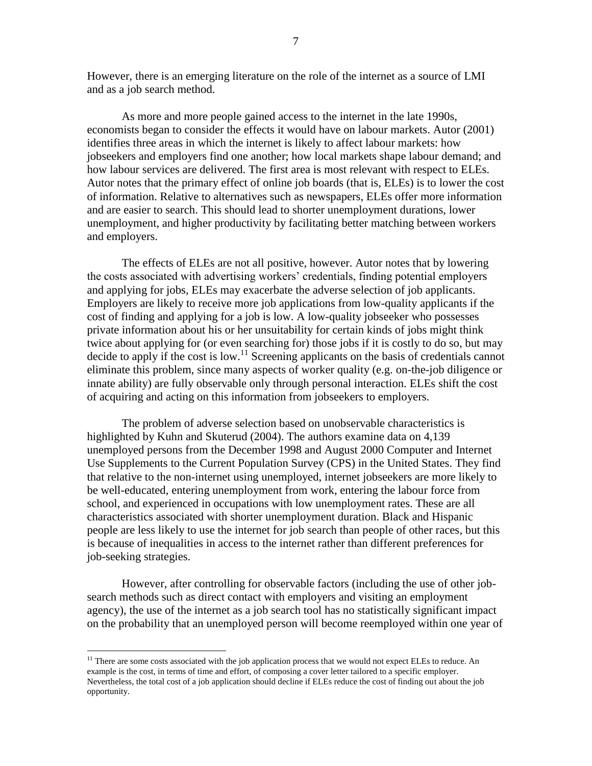However, there is an emerging literature on the role of the internet as a source of LMI and as a job search method.

As more and more people gained access to the internet in the late 1990s, economists began to consider the effects it would have on labour markets. Autor (2001) identifies three areas in which the internet is likely to affect labour markets: how jobseekers and employers find one another; how local markets shape labour demand; and how labour services are delivered. The first area is most relevant with respect to ELEs. Autor notes that the primary effect of online job boards (that is, ELEs) is to lower the cost of information. Relative to alternatives such as newspapers, ELEs offer more information and are easier to search. This should lead to shorter unemployment durations, lower unemployment, and higher productivity by facilitating better matching between workers and employers.

The effects of ELEs are not all positive, however. Autor notes that by lowering the costs associated with advertising workers" credentials, finding potential employers and applying for jobs, ELEs may exacerbate the adverse selection of job applicants. Employers are likely to receive more job applications from low-quality applicants if the cost of finding and applying for a job is low. A low-quality jobseeker who possesses private information about his or her unsuitability for certain kinds of jobs might think twice about applying for (or even searching for) those jobs if it is costly to do so, but may decide to apply if the cost is low.<sup>11</sup> Screening applicants on the basis of credentials cannot eliminate this problem, since many aspects of worker quality (e.g. on-the-job diligence or innate ability) are fully observable only through personal interaction. ELEs shift the cost of acquiring and acting on this information from jobseekers to employers.

The problem of adverse selection based on unobservable characteristics is highlighted by Kuhn and Skuterud (2004). The authors examine data on 4,139 unemployed persons from the December 1998 and August 2000 Computer and Internet Use Supplements to the Current Population Survey (CPS) in the United States. They find that relative to the non-internet using unemployed, internet jobseekers are more likely to be well-educated, entering unemployment from work, entering the labour force from school, and experienced in occupations with low unemployment rates. These are all characteristics associated with shorter unemployment duration. Black and Hispanic people are less likely to use the internet for job search than people of other races, but this is because of inequalities in access to the internet rather than different preferences for job-seeking strategies.

However, after controlling for observable factors (including the use of other jobsearch methods such as direct contact with employers and visiting an employment agency), the use of the internet as a job search tool has no statistically significant impact on the probability that an unemployed person will become reemployed within one year of

<sup>&</sup>lt;sup>11</sup> There are some costs associated with the job application process that we would not expect ELEs to reduce. An example is the cost, in terms of time and effort, of composing a cover letter tailored to a specific employer. Nevertheless, the total cost of a job application should decline if ELEs reduce the cost of finding out about the job opportunity.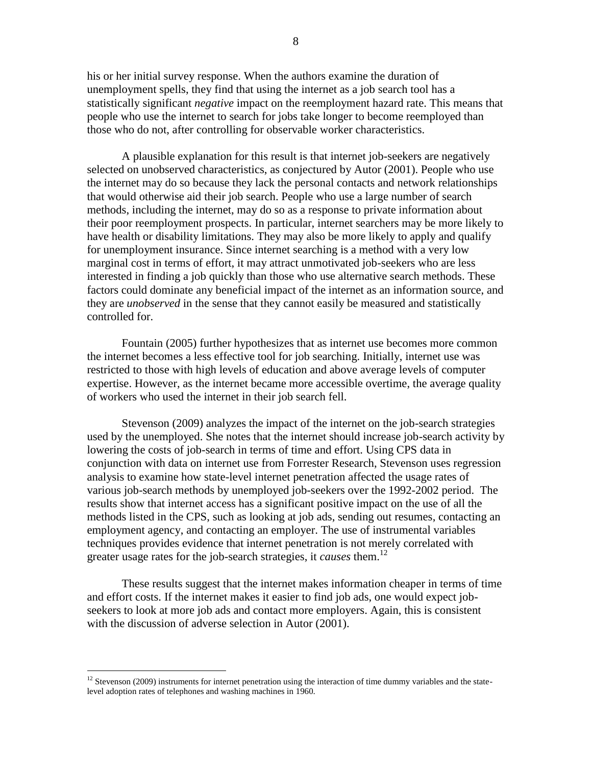his or her initial survey response. When the authors examine the duration of unemployment spells, they find that using the internet as a job search tool has a statistically significant *negative* impact on the reemployment hazard rate. This means that people who use the internet to search for jobs take longer to become reemployed than those who do not, after controlling for observable worker characteristics.

A plausible explanation for this result is that internet job-seekers are negatively selected on unobserved characteristics, as conjectured by Autor (2001). People who use the internet may do so because they lack the personal contacts and network relationships that would otherwise aid their job search. People who use a large number of search methods, including the internet, may do so as a response to private information about their poor reemployment prospects. In particular, internet searchers may be more likely to have health or disability limitations. They may also be more likely to apply and qualify for unemployment insurance. Since internet searching is a method with a very low marginal cost in terms of effort, it may attract unmotivated job-seekers who are less interested in finding a job quickly than those who use alternative search methods. These factors could dominate any beneficial impact of the internet as an information source, and they are *unobserved* in the sense that they cannot easily be measured and statistically controlled for.

Fountain (2005) further hypothesizes that as internet use becomes more common the internet becomes a less effective tool for job searching. Initially, internet use was restricted to those with high levels of education and above average levels of computer expertise. However, as the internet became more accessible overtime, the average quality of workers who used the internet in their job search fell.

Stevenson (2009) analyzes the impact of the internet on the job-search strategies used by the unemployed. She notes that the internet should increase job-search activity by lowering the costs of job-search in terms of time and effort. Using CPS data in conjunction with data on internet use from Forrester Research, Stevenson uses regression analysis to examine how state-level internet penetration affected the usage rates of various job-search methods by unemployed job-seekers over the 1992-2002 period. The results show that internet access has a significant positive impact on the use of all the methods listed in the CPS, such as looking at job ads, sending out resumes, contacting an employment agency, and contacting an employer. The use of instrumental variables techniques provides evidence that internet penetration is not merely correlated with greater usage rates for the job-search strategies, it *causes* them.<sup>12</sup>

These results suggest that the internet makes information cheaper in terms of time and effort costs. If the internet makes it easier to find job ads, one would expect jobseekers to look at more job ads and contact more employers. Again, this is consistent with the discussion of adverse selection in Autor (2001).

 $12$  Stevenson (2009) instruments for internet penetration using the interaction of time dummy variables and the statelevel adoption rates of telephones and washing machines in 1960.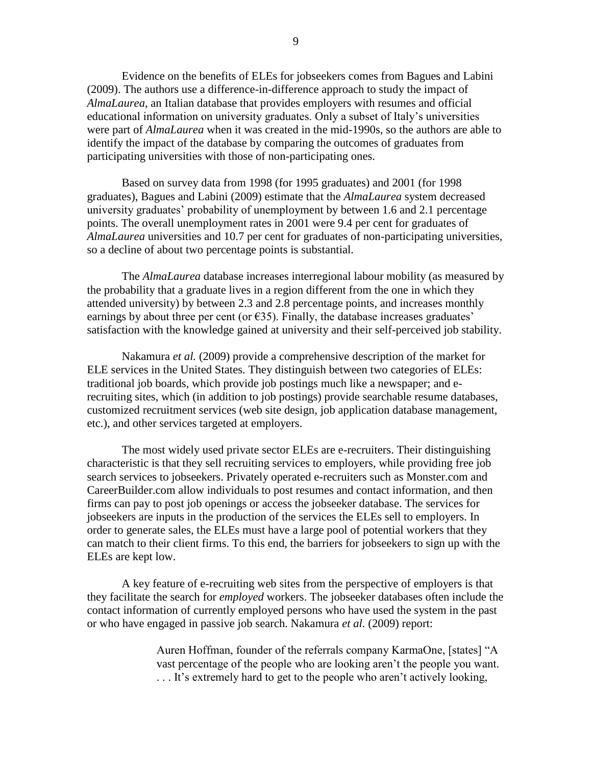Evidence on the benefits of ELEs for jobseekers comes from Bagues and Labini (2009). The authors use a difference-in-difference approach to study the impact of *AlmaLaurea*, an Italian database that provides employers with resumes and official educational information on university graduates. Only a subset of Italy"s universities were part of *AlmaLaurea* when it was created in the mid-1990s, so the authors are able to identify the impact of the database by comparing the outcomes of graduates from participating universities with those of non-participating ones.

Based on survey data from 1998 (for 1995 graduates) and 2001 (for 1998 graduates), Bagues and Labini (2009) estimate that the *AlmaLaurea* system decreased university graduates" probability of unemployment by between 1.6 and 2.1 percentage points. The overall unemployment rates in 2001 were 9.4 per cent for graduates of *AlmaLaurea* universities and 10.7 per cent for graduates of non-participating universities, so a decline of about two percentage points is substantial.

The *AlmaLaurea* database increases interregional labour mobility (as measured by the probability that a graduate lives in a region different from the one in which they attended university) by between 2.3 and 2.8 percentage points, and increases monthly earnings by about three per cent (or  $\epsilon$ 35). Finally, the database increases graduates' satisfaction with the knowledge gained at university and their self-perceived job stability.

Nakamura *et al.* (2009) provide a comprehensive description of the market for ELE services in the United States. They distinguish between two categories of ELEs: traditional job boards, which provide job postings much like a newspaper; and erecruiting sites, which (in addition to job postings) provide searchable resume databases, customized recruitment services (web site design, job application database management, etc.), and other services targeted at employers.

The most widely used private sector ELEs are e-recruiters. Their distinguishing characteristic is that they sell recruiting services to employers, while providing free job search services to jobseekers. Privately operated e-recruiters such as Monster.com and CareerBuilder.com allow individuals to post resumes and contact information, and then firms can pay to post job openings or access the jobseeker database. The services for jobseekers are inputs in the production of the services the ELEs sell to employers. In order to generate sales, the ELEs must have a large pool of potential workers that they can match to their client firms. To this end, the barriers for jobseekers to sign up with the ELEs are kept low.

A key feature of e-recruiting web sites from the perspective of employers is that they facilitate the search for *employed* workers. The jobseeker databases often include the contact information of currently employed persons who have used the system in the past or who have engaged in passive job search. Nakamura *et al.* (2009) report:

> Auren Hoffman, founder of the referrals company KarmaOne, [states] "A vast percentage of the people who are looking aren"t the people you want. ... It's extremely hard to get to the people who aren't actively looking,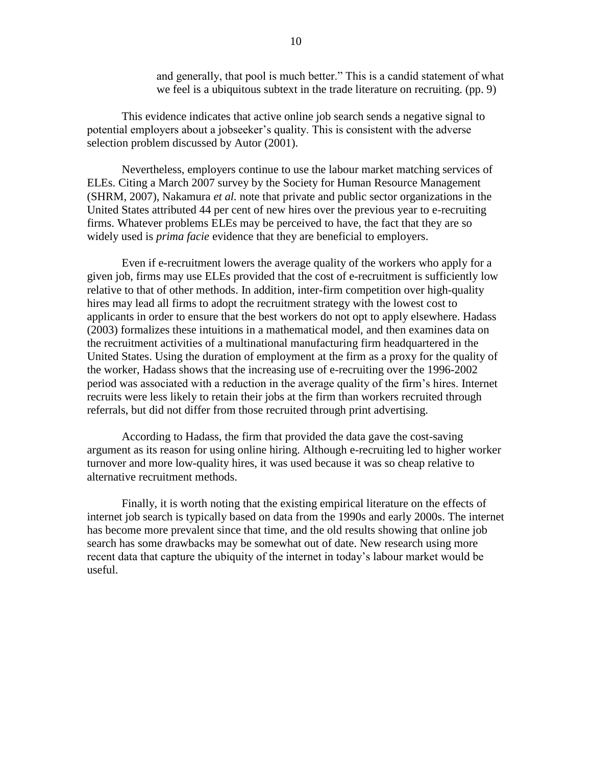and generally, that pool is much better." This is a candid statement of what we feel is a ubiquitous subtext in the trade literature on recruiting. (pp. 9)

This evidence indicates that active online job search sends a negative signal to potential employers about a jobseeker"s quality. This is consistent with the adverse selection problem discussed by Autor (2001).

Nevertheless, employers continue to use the labour market matching services of ELEs. Citing a March 2007 survey by the Society for Human Resource Management (SHRM, 2007), Nakamura *et al.* note that private and public sector organizations in the United States attributed 44 per cent of new hires over the previous year to e-recruiting firms. Whatever problems ELEs may be perceived to have, the fact that they are so widely used is *prima facie* evidence that they are beneficial to employers.

Even if e-recruitment lowers the average quality of the workers who apply for a given job, firms may use ELEs provided that the cost of e-recruitment is sufficiently low relative to that of other methods. In addition, inter-firm competition over high-quality hires may lead all firms to adopt the recruitment strategy with the lowest cost to applicants in order to ensure that the best workers do not opt to apply elsewhere. Hadass (2003) formalizes these intuitions in a mathematical model, and then examines data on the recruitment activities of a multinational manufacturing firm headquartered in the United States. Using the duration of employment at the firm as a proxy for the quality of the worker, Hadass shows that the increasing use of e-recruiting over the 1996-2002 period was associated with a reduction in the average quality of the firm"s hires. Internet recruits were less likely to retain their jobs at the firm than workers recruited through referrals, but did not differ from those recruited through print advertising.

According to Hadass, the firm that provided the data gave the cost-saving argument as its reason for using online hiring. Although e-recruiting led to higher worker turnover and more low-quality hires, it was used because it was so cheap relative to alternative recruitment methods.

Finally, it is worth noting that the existing empirical literature on the effects of internet job search is typically based on data from the 1990s and early 2000s. The internet has become more prevalent since that time, and the old results showing that online job search has some drawbacks may be somewhat out of date. New research using more recent data that capture the ubiquity of the internet in today"s labour market would be useful.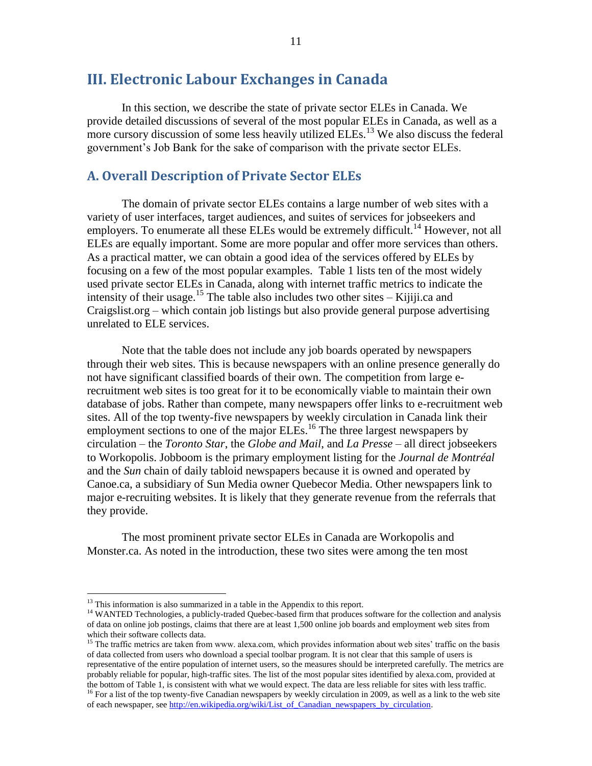## <span id="page-19-0"></span>**III. Electronic Labour Exchanges in Canada**

In this section, we describe the state of private sector ELEs in Canada. We provide detailed discussions of several of the most popular ELEs in Canada, as well as a more cursory discussion of some less heavily utilized ELEs.<sup>13</sup> We also discuss the federal government's Job Bank for the sake of comparison with the private sector ELEs.

### <span id="page-19-1"></span>**A. Overall Description of Private Sector ELEs**

The domain of private sector ELEs contains a large number of web sites with a variety of user interfaces, target audiences, and suites of services for jobseekers and employers. To enumerate all these ELEs would be extremely difficult.<sup>14</sup> However, not all ELEs are equally important. Some are more popular and offer more services than others. As a practical matter, we can obtain a good idea of the services offered by ELEs by focusing on a few of the most popular examples. [Table 1](#page-20-0) lists ten of the most widely used private sector ELEs in Canada, along with internet traffic metrics to indicate the intensity of their usage.<sup>15</sup> The table also includes two other sites – Kijiji.ca and Craigslist.org – which contain job listings but also provide general purpose advertising unrelated to ELE services.

Note that the table does not include any job boards operated by newspapers through their web sites. This is because newspapers with an online presence generally do not have significant classified boards of their own. The competition from large erecruitment web sites is too great for it to be economically viable to maintain their own database of jobs. Rather than compete, many newspapers offer links to e-recruitment web sites. All of the top twenty-five newspapers by weekly circulation in Canada link their employment sections to one of the major  $ELEs$ .<sup>16</sup> The three largest newspapers by circulation – the *Toronto Star*, the *Globe and Mail*, and *La Presse* – all direct jobseekers to Workopolis. Jobboom is the primary employment listing for the *Journal de Montréal* and the *Sun* chain of daily tabloid newspapers because it is owned and operated by Canoe.ca, a subsidiary of Sun Media owner Quebecor Media. Other newspapers link to major e-recruiting websites. It is likely that they generate revenue from the referrals that they provide.

The most prominent private sector ELEs in Canada are Workopolis and Monster.ca. As noted in the introduction, these two sites were among the ten most

<sup>&</sup>lt;sup>13</sup> This information is also summarized in a table in the Appendix to this report.

<sup>&</sup>lt;sup>14</sup> WANTED Technologies, a publicly-traded Quebec-based firm that produces software for the collection and analysis of data on online job postings, claims that there are at least 1,500 online job boards and employment web sites from which their software collects data.

<sup>&</sup>lt;sup>15</sup> The traffic metrics are taken from www. alexa.com, which provides information about web sites' traffic on the basis of data collected from users who download a special toolbar program. It is not clear that this sample of users is representative of the entire population of internet users, so the measures should be interpreted carefully. The metrics are probably reliable for popular, high-traffic sites. The list of the most popular sites identified by alexa.com, provided at the bottom o[f Table 1,](#page-20-0) is consistent with what we would expect. The data are less reliable for sites with less traffic.

 $16$  For a list of the top twenty-five Canadian newspapers by weekly circulation in 2009, as well as a link to the web site of each newspaper, see [http://en.wikipedia.org/wiki/List\\_of\\_Canadian\\_newspapers\\_by\\_circulation.](http://en.wikipedia.org/wiki/List_of_Canadian_newspapers_by_circulation)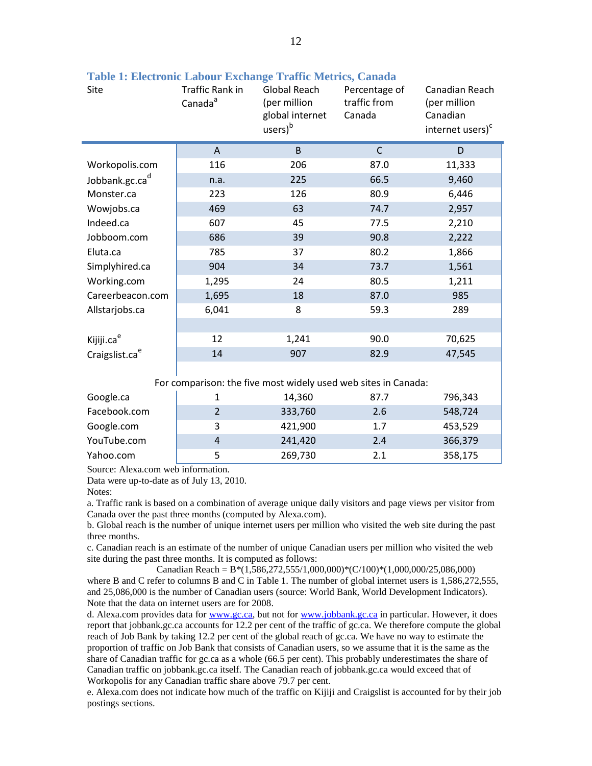| Site                       | Traffic Rank in<br>Canada <sup>a</sup> | Global Reach<br>Percentage of<br>traffic from<br>(per million<br>global internet<br>Canada<br>users) <sup>b</sup> |              | Canadian Reach<br>(per million<br>Canadian<br>internet users) <sup>c</sup> |
|----------------------------|----------------------------------------|-------------------------------------------------------------------------------------------------------------------|--------------|----------------------------------------------------------------------------|
|                            | A                                      | B                                                                                                                 | $\mathsf{C}$ | D                                                                          |
| Workopolis.com             | 116                                    | 206                                                                                                               | 87.0         | 11,333                                                                     |
| Jobbank.gc.cad             | n.a.                                   | 225                                                                                                               | 66.5         | 9,460                                                                      |
| Monster.ca                 | 223                                    | 126                                                                                                               | 80.9         | 6,446                                                                      |
| Wowjobs.ca                 | 469                                    | 63                                                                                                                | 74.7         | 2,957                                                                      |
| Indeed.ca                  | 607                                    | 45                                                                                                                | 77.5         | 2,210                                                                      |
| Jobboom.com                | 686                                    | 39                                                                                                                | 90.8         | 2,222                                                                      |
| Eluta.ca                   | 785                                    | 37                                                                                                                | 80.2         | 1,866                                                                      |
| Simplyhired.ca             | 904                                    | 34                                                                                                                | 73.7         | 1,561                                                                      |
| Working.com                | 1,295                                  | 24                                                                                                                | 80.5         | 1,211                                                                      |
| Careerbeacon.com           | 1,695                                  | 18                                                                                                                | 87.0         | 985                                                                        |
| Allstarjobs.ca             | 6,041                                  | 8                                                                                                                 | 59.3         | 289                                                                        |
|                            |                                        |                                                                                                                   |              |                                                                            |
| Kijiji.ca <sup>e</sup>     | 12                                     | 1,241                                                                                                             | 90.0         | 70,625                                                                     |
| Craigslist.ca <sup>e</sup> | 14                                     | 907                                                                                                               | 82.9         | 47,545                                                                     |

<span id="page-20-0"></span>**Table 1: Electronic Labour Exchange Traffic Metrics, Canada**

For comparison: the five most widely used web sites in Canada:

| Google.ca    | 14,360  | 87.7 | 796,343 |
|--------------|---------|------|---------|
| Facebook.com | 333,760 | 2.6  | 548,724 |
| Google.com   | 421,900 | 1.7  | 453,529 |
| YouTube.com  | 241,420 | 2.4  | 366,379 |
| Yahoo.com    | 269,730 | 2.1  | 358,175 |

Source: Alexa.com web information.

Data were up-to-date as of July 13, 2010.

Notes:

a. Traffic rank is based on a combination of average unique daily visitors and page views per visitor from Canada over the past three months (computed by Alexa.com).

b. Global reach is the number of unique internet users per million who visited the web site during the past three months.

c. Canadian reach is an estimate of the number of unique Canadian users per million who visited the web site during the past three months. It is computed as follows:

Canadian Reach =  $B*(1,586,272,555/1,000,000)*(C/100)*(1,000,000/25,086,000)$ where B and C refer to columns B and C in Table 1. The number of global internet users is 1,586,272,555, and 25,086,000 is the number of Canadian users (source: World Bank, World Development Indicators). Note that the data on internet users are for 2008.

d. Alexa.com provides data for [www.gc.ca,](http://www.gc.ca/) but not for [www.jobbank.gc.ca](http://www.jobbank.gc.ca/) in particular. However, it does report that jobbank.gc.ca accounts for 12.2 per cent of the traffic of gc.ca. We therefore compute the global reach of Job Bank by taking 12.2 per cent of the global reach of gc.ca. We have no way to estimate the proportion of traffic on Job Bank that consists of Canadian users, so we assume that it is the same as the share of Canadian traffic for gc.ca as a whole (66.5 per cent). This probably underestimates the share of Canadian traffic on jobbank.gc.ca itself. The Canadian reach of jobbank.gc.ca would exceed that of Workopolis for any Canadian traffic share above 79.7 per cent.

e. Alexa.com does not indicate how much of the traffic on Kijiji and Craigslist is accounted for by their job postings sections.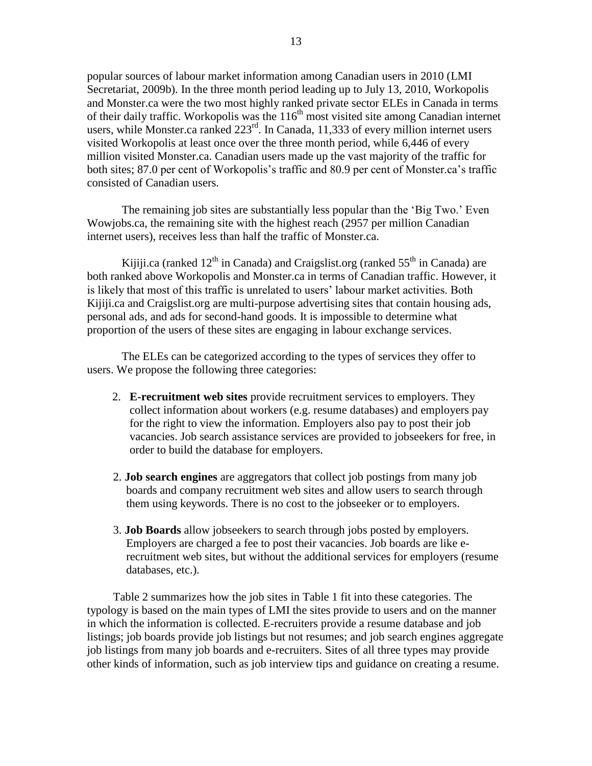popular sources of labour market information among Canadian users in 2010 (LMI Secretariat, 2009b). In the three month period leading up to July 13, 2010, Workopolis and Monster.ca were the two most highly ranked private sector ELEs in Canada in terms of their daily traffic. Workopolis was the  $116<sup>th</sup>$  most visited site among Canadian internet users, while Monster.ca ranked  $223<sup>rd</sup>$ . In Canada, 11,333 of every million internet users visited Workopolis at least once over the three month period, while 6,446 of every million visited Monster.ca. Canadian users made up the vast majority of the traffic for both sites; 87.0 per cent of Workopolis's traffic and 80.9 per cent of Monster.ca's traffic consisted of Canadian users.

The remaining job sites are substantially less popular than the 'Big Two.' Even Wowjobs.ca, the remaining site with the highest reach (2957 per million Canadian internet users), receives less than half the traffic of Monster.ca.

Kijiji.ca (ranked  $12<sup>th</sup>$  in Canada) and Craigslist.org (ranked  $55<sup>th</sup>$  in Canada) are both ranked above Workopolis and Monster.ca in terms of Canadian traffic. However, it is likely that most of this traffic is unrelated to users' labour market activities. Both Kijiji.ca and Craigslist.org are multi-purpose advertising sites that contain housing ads, personal ads, and ads for second-hand goods. It is impossible to determine what proportion of the users of these sites are engaging in labour exchange services.

The ELEs can be categorized according to the types of services they offer to users. We propose the following three categories:

- 2. **E-recruitment web sites** provide recruitment services to employers. They collect information about workers (e.g. resume databases) and employers pay for the right to view the information. Employers also pay to post their job vacancies. Job search assistance services are provided to jobseekers for free, in order to build the database for employers.
- 2. **Job search engines** are aggregators that collect job postings from many job boards and company recruitment web sites and allow users to search through them using keywords. There is no cost to the jobseeker or to employers.
- 3. **Job Boards** allow jobseekers to search through jobs posted by employers. Employers are charged a fee to post their vacancies. Job boards are like erecruitment web sites, but without the additional services for employers (resume databases, etc.).

[Table 2](#page-22-0) summarizes how the job sites in [Table 1](#page-20-0) fit into these categories. The typology is based on the main types of LMI the sites provide to users and on the manner in which the information is collected. E-recruiters provide a resume database and job listings; job boards provide job listings but not resumes; and job search engines aggregate job listings from many job boards and e-recruiters. Sites of all three types may provide other kinds of information, such as job interview tips and guidance on creating a resume.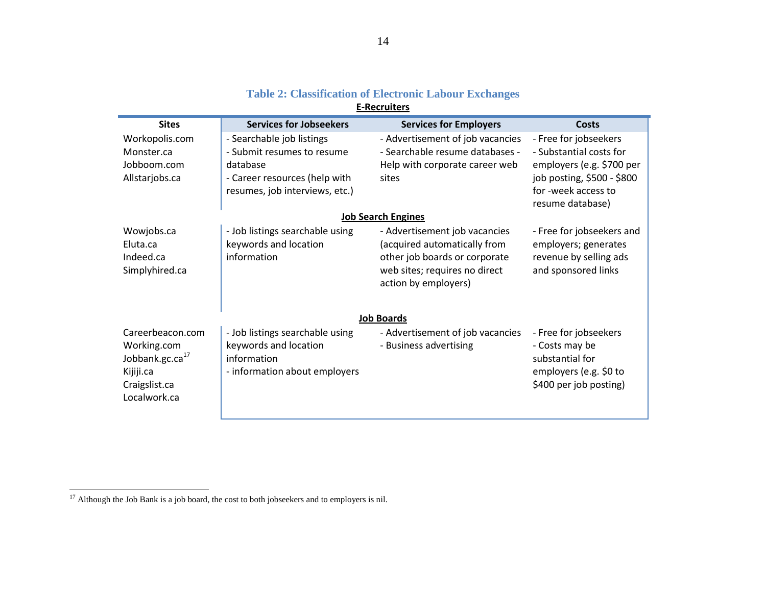<span id="page-22-0"></span>

| <b>Sites</b>                | <b>Services for Jobseekers</b>  | <b>Services for Employers</b>    | <b>Costs</b>               |
|-----------------------------|---------------------------------|----------------------------------|----------------------------|
| Workopolis.com              | - Searchable job listings       | - Advertisement of job vacancies | - Free for jobseekers      |
| Monster.ca                  | - Submit resumes to resume      | - Searchable resume databases -  | - Substantial costs for    |
| Jobboom.com                 | database                        | Help with corporate career web   | employers (e.g. \$700 per  |
| Allstarjobs.ca              | - Career resources (help with   | sites                            | job posting, \$500 - \$800 |
|                             | resumes, job interviews, etc.)  |                                  | for -week access to        |
|                             |                                 |                                  | resume database)           |
|                             |                                 | <b>Job Search Engines</b>        |                            |
| Wowjobs.ca                  | - Job listings searchable using | - Advertisement job vacancies    | - Free for jobseekers and  |
| Eluta.ca                    | keywords and location           | (acquired automatically from     | employers; generates       |
| Indeed.ca                   | information                     | other job boards or corporate    | revenue by selling ads     |
| Simplyhired.ca              |                                 | web sites; requires no direct    | and sponsored links        |
|                             |                                 | action by employers)             |                            |
|                             |                                 |                                  |                            |
|                             |                                 | <b>Job Boards</b>                |                            |
| Careerbeacon.com            | - Job listings searchable using | - Advertisement of job vacancies | - Free for jobseekers      |
| Working.com                 | keywords and location           | - Business advertising           | - Costs may be             |
| Jobbank.gc.ca <sup>17</sup> | information                     |                                  | substantial for            |
| Kijiji.ca                   | - information about employers   |                                  | employers (e.g. \$0 to     |
| Craigslist.ca               |                                 |                                  | \$400 per job posting)     |
| Localwork.ca                |                                 |                                  |                            |
|                             |                                 |                                  |                            |
|                             |                                 |                                  |                            |

#### **Table 2: Classification of Electronic Labour Exchanges E-Recruiters**

 $17$  Although the Job Bank is a job board, the cost to both jobseekers and to employers is nil.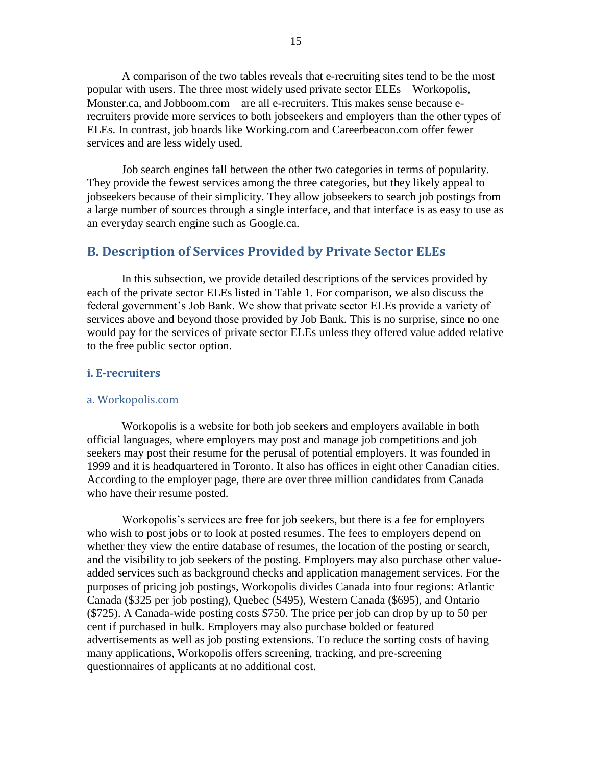A comparison of the two tables reveals that e-recruiting sites tend to be the most popular with users. The three most widely used private sector ELEs – Workopolis, Monster.ca, and Jobboom.com – are all e-recruiters. This makes sense because erecruiters provide more services to both jobseekers and employers than the other types of ELEs. In contrast, job boards like Working.com and Careerbeacon.com offer fewer services and are less widely used.

Job search engines fall between the other two categories in terms of popularity. They provide the fewest services among the three categories, but they likely appeal to jobseekers because of their simplicity. They allow jobseekers to search job postings from a large number of sources through a single interface, and that interface is as easy to use as an everyday search engine such as Google.ca.

## <span id="page-23-0"></span>**B. Description of Services Provided by Private Sector ELEs**

In this subsection, we provide detailed descriptions of the services provided by each of the private sector ELEs listed in [Table 1.](#page-20-0) For comparison, we also discuss the federal government"s Job Bank. We show that private sector ELEs provide a variety of services above and beyond those provided by Job Bank. This is no surprise, since no one would pay for the services of private sector ELEs unless they offered value added relative to the free public sector option.

#### <span id="page-23-1"></span>**i. E-recruiters**

#### a. Workopolis.com

Workopolis is a website for both job seekers and employers available in both official languages, where employers may post and manage job competitions and job seekers may post their resume for the perusal of potential employers. It was founded in 1999 and it is headquartered in Toronto. It also has offices in eight other Canadian cities. According to the employer page, there are over three million candidates from Canada who have their resume posted.

Workopolis"s services are free for job seekers, but there is a fee for employers who wish to post jobs or to look at posted resumes. The fees to employers depend on whether they view the entire database of resumes, the location of the posting or search, and the visibility to job seekers of the posting. Employers may also purchase other valueadded services such as background checks and application management services. For the purposes of pricing job postings, Workopolis divides Canada into four regions: Atlantic Canada (\$325 per job posting), Quebec (\$495), Western Canada (\$695), and Ontario (\$725). A Canada-wide posting costs \$750. The price per job can drop by up to 50 per cent if purchased in bulk. Employers may also purchase bolded or featured advertisements as well as job posting extensions. To reduce the sorting costs of having many applications, Workopolis offers screening, tracking, and pre-screening questionnaires of applicants at no additional cost.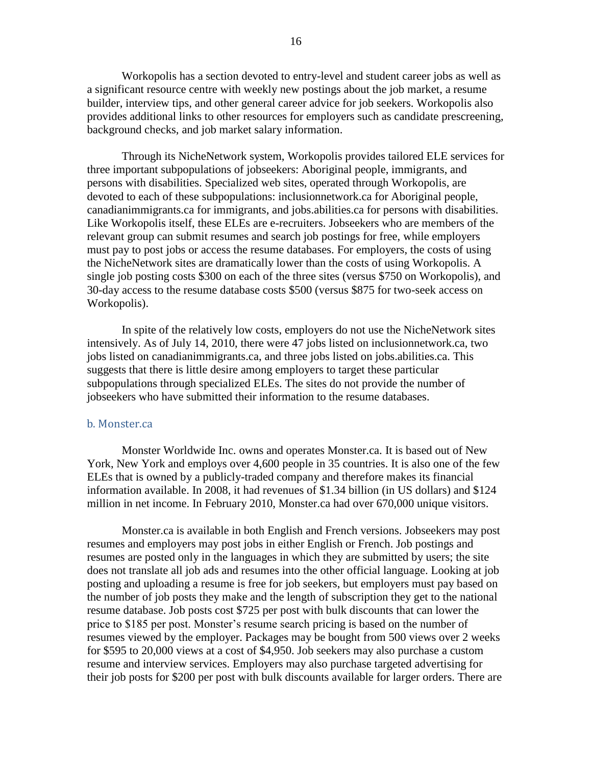Workopolis has a section devoted to entry-level and student career jobs as well as a significant resource centre with weekly new postings about the job market, a resume builder, interview tips, and other general career advice for job seekers. Workopolis also provides additional links to other resources for employers such as candidate prescreening, background checks, and job market salary information.

Through its NicheNetwork system, Workopolis provides tailored ELE services for three important subpopulations of jobseekers: Aboriginal people, immigrants, and persons with disabilities. Specialized web sites, operated through Workopolis, are devoted to each of these subpopulations: inclusionnetwork.ca for Aboriginal people, canadianimmigrants.ca for immigrants, and jobs.abilities.ca for persons with disabilities. Like Workopolis itself, these ELEs are e-recruiters. Jobseekers who are members of the relevant group can submit resumes and search job postings for free, while employers must pay to post jobs or access the resume databases. For employers, the costs of using the NicheNetwork sites are dramatically lower than the costs of using Workopolis. A single job posting costs \$300 on each of the three sites (versus \$750 on Workopolis), and 30-day access to the resume database costs \$500 (versus \$875 for two-seek access on Workopolis).

In spite of the relatively low costs, employers do not use the NicheNetwork sites intensively. As of July 14, 2010, there were 47 jobs listed on inclusionnetwork.ca, two jobs listed on canadianimmigrants.ca, and three jobs listed on jobs.abilities.ca. This suggests that there is little desire among employers to target these particular subpopulations through specialized ELEs. The sites do not provide the number of jobseekers who have submitted their information to the resume databases.

#### b. Monster.ca

Monster Worldwide Inc. owns and operates Monster.ca. It is based out of New York, New York and employs over 4,600 people in 35 countries. It is also one of the few ELEs that is owned by a publicly-traded company and therefore makes its financial information available. In 2008, it had revenues of \$1.34 billion (in US dollars) and \$124 million in net income. In February 2010, Monster.ca had over 670,000 unique visitors.

Monster.ca is available in both English and French versions. Jobseekers may post resumes and employers may post jobs in either English or French. Job postings and resumes are posted only in the languages in which they are submitted by users; the site does not translate all job ads and resumes into the other official language. Looking at job posting and uploading a resume is free for job seekers, but employers must pay based on the number of job posts they make and the length of subscription they get to the national resume database. Job posts cost \$725 per post with bulk discounts that can lower the price to \$185 per post. Monster"s resume search pricing is based on the number of resumes viewed by the employer. Packages may be bought from 500 views over 2 weeks for \$595 to 20,000 views at a cost of \$4,950. Job seekers may also purchase a custom resume and interview services. Employers may also purchase targeted advertising for their job posts for \$200 per post with bulk discounts available for larger orders. There are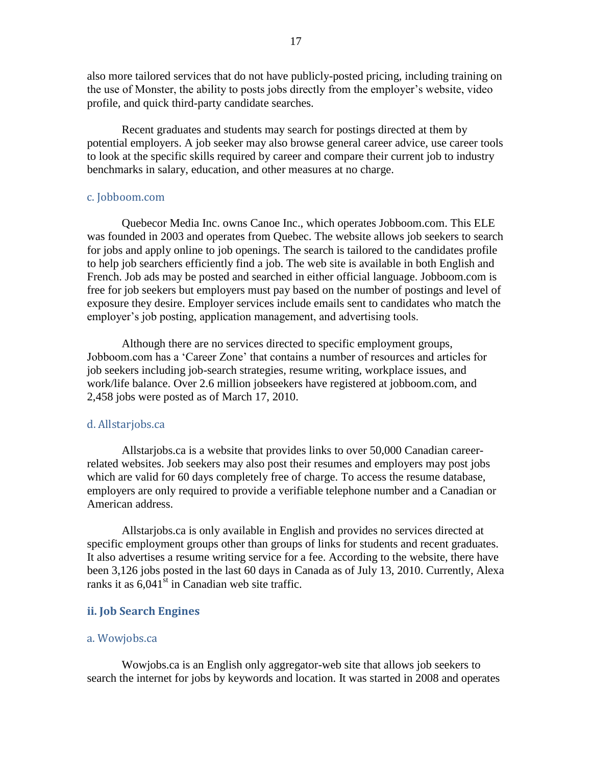also more tailored services that do not have publicly-posted pricing, including training on the use of Monster, the ability to posts jobs directly from the employer's website, video profile, and quick third-party candidate searches.

Recent graduates and students may search for postings directed at them by potential employers. A job seeker may also browse general career advice, use career tools to look at the specific skills required by career and compare their current job to industry benchmarks in salary, education, and other measures at no charge.

#### c. Jobboom.com

Quebecor Media Inc. owns Canoe Inc., which operates Jobboom.com. This ELE was founded in 2003 and operates from Quebec. The website allows job seekers to search for jobs and apply online to job openings. The search is tailored to the candidates profile to help job searchers efficiently find a job. The web site is available in both English and French. Job ads may be posted and searched in either official language. Jobboom.com is free for job seekers but employers must pay based on the number of postings and level of exposure they desire. Employer services include emails sent to candidates who match the employer's job posting, application management, and advertising tools.

Although there are no services directed to specific employment groups, Jobboom.com has a "Career Zone" that contains a number of resources and articles for job seekers including job-search strategies, resume writing, workplace issues, and work/life balance. Over 2.6 million jobseekers have registered at jobboom.com, and 2,458 jobs were posted as of March 17, 2010.

#### d. Allstarjobs.ca

Allstarjobs.ca is a website that provides links to over 50,000 Canadian careerrelated websites. Job seekers may also post their resumes and employers may post jobs which are valid for 60 days completely free of charge. To access the resume database, employers are only required to provide a verifiable telephone number and a Canadian or American address.

Allstarjobs.ca is only available in English and provides no services directed at specific employment groups other than groups of links for students and recent graduates. It also advertises a resume writing service for a fee. According to the website, there have been 3,126 jobs posted in the last 60 days in Canada as of July 13, 2010. Currently, Alexa ranks it as  $6.041^{\text{st}}$  in Canadian web site traffic.

#### <span id="page-25-0"></span>**ii. Job Search Engines**

#### a. Wowjobs.ca

Wowjobs.ca is an English only aggregator-web site that allows job seekers to search the internet for jobs by keywords and location. It was started in 2008 and operates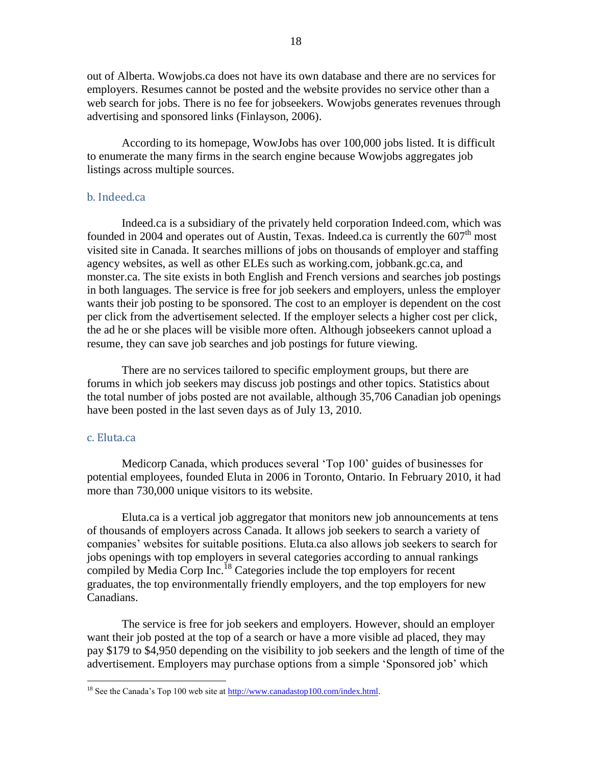out of Alberta. Wowjobs.ca does not have its own database and there are no services for employers. Resumes cannot be posted and the website provides no service other than a web search for jobs. There is no fee for jobseekers. Wowjobs generates revenues through advertising and sponsored links (Finlayson, 2006).

According to its homepage, WowJobs has over 100,000 jobs listed. It is difficult to enumerate the many firms in the search engine because Wowjobs aggregates job listings across multiple sources.

#### b. Indeed.ca

Indeed.ca is a subsidiary of the privately held corporation Indeed.com, which was founded in 2004 and operates out of Austin, Texas. Indeed.ca is currently the  $607<sup>th</sup>$  most visited site in Canada. It searches millions of jobs on thousands of employer and staffing agency websites, as well as other ELEs such as working.com, jobbank.gc.ca, and monster.ca. The site exists in both English and French versions and searches job postings in both languages. The service is free for job seekers and employers, unless the employer wants their job posting to be sponsored. The cost to an employer is dependent on the cost per click from the advertisement selected. If the employer selects a higher cost per click, the ad he or she places will be visible more often. Although jobseekers cannot upload a resume, they can save job searches and job postings for future viewing.

There are no services tailored to specific employment groups, but there are forums in which job seekers may discuss job postings and other topics. Statistics about the total number of jobs posted are not available, although 35,706 Canadian job openings have been posted in the last seven days as of July 13, 2010.

#### c. Eluta.ca

 $\overline{a}$ 

Medicorp Canada, which produces several "Top 100" guides of businesses for potential employees, founded Eluta in 2006 in Toronto, Ontario. In February 2010, it had more than 730,000 unique visitors to its website.

Eluta.ca is a vertical job aggregator that monitors new job announcements at tens of thousands of employers across Canada. It allows job seekers to search a variety of companies" websites for suitable positions. Eluta.ca also allows job seekers to search for jobs openings with top employers in several categories according to annual rankings compiled by Media Corp Inc.<sup>18</sup> Categories include the top employers for recent graduates, the top environmentally friendly employers, and the top employers for new Canadians.

The service is free for job seekers and employers. However, should an employer want their job posted at the top of a search or have a more visible ad placed, they may pay \$179 to \$4,950 depending on the visibility to job seekers and the length of time of the advertisement. Employers may purchase options from a simple "Sponsored job" which

<sup>&</sup>lt;sup>18</sup> See the Canada's Top 100 web site at http://www.canadastop100.com/index.html.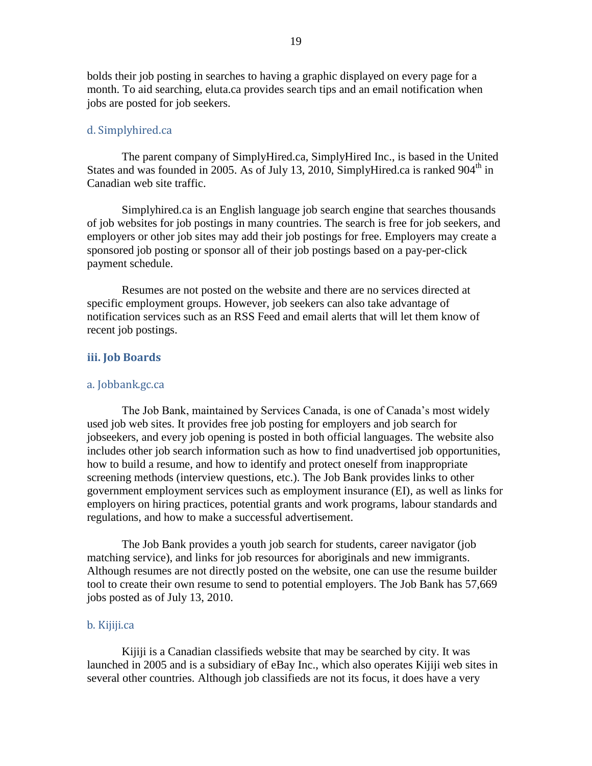bolds their job posting in searches to having a graphic displayed on every page for a month. To aid searching, eluta.ca provides search tips and an email notification when jobs are posted for job seekers.

#### d. Simplyhired.ca

The parent company of SimplyHired.ca, SimplyHired Inc., is based in the United States and was founded in 2005. As of July 13, 2010, SimplyHired.ca is ranked  $904<sup>th</sup>$  in Canadian web site traffic.

Simplyhired.ca is an English language job search engine that searches thousands of job websites for job postings in many countries. The search is free for job seekers, and employers or other job sites may add their job postings for free. Employers may create a sponsored job posting or sponsor all of their job postings based on a pay-per-click payment schedule.

Resumes are not posted on the website and there are no services directed at specific employment groups. However, job seekers can also take advantage of notification services such as an RSS Feed and email alerts that will let them know of recent job postings.

#### <span id="page-27-0"></span>**iii. Job Boards**

#### a. Jobbank.gc.ca

The Job Bank, maintained by Services Canada, is one of Canada"s most widely used job web sites. It provides free job posting for employers and job search for jobseekers, and every job opening is posted in both official languages. The website also includes other job search information such as how to find unadvertised job opportunities, how to build a resume, and how to identify and protect oneself from inappropriate screening methods (interview questions, etc.). The Job Bank provides links to other government employment services such as employment insurance (EI), as well as links for employers on hiring practices, potential grants and work programs, labour standards and regulations, and how to make a successful advertisement.

The Job Bank provides a youth job search for students, career navigator (job matching service), and links for job resources for aboriginals and new immigrants. Although resumes are not directly posted on the website, one can use the resume builder tool to create their own resume to send to potential employers. The Job Bank has 57,669 jobs posted as of July 13, 2010.

#### b. Kijiji.ca

Kijiji is a Canadian classifieds website that may be searched by city. It was launched in 2005 and is a subsidiary of eBay Inc., which also operates Kijiji web sites in several other countries. Although job classifieds are not its focus, it does have a very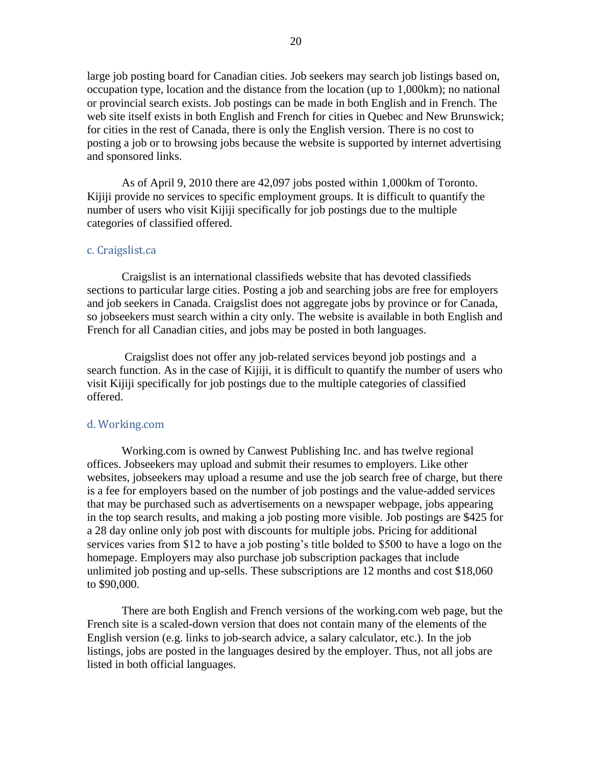large job posting board for Canadian cities. Job seekers may search job listings based on, occupation type, location and the distance from the location (up to 1,000km); no national or provincial search exists. Job postings can be made in both English and in French. The web site itself exists in both English and French for cities in Quebec and New Brunswick; for cities in the rest of Canada, there is only the English version. There is no cost to posting a job or to browsing jobs because the website is supported by internet advertising and sponsored links.

As of April 9, 2010 there are 42,097 jobs posted within 1,000km of Toronto. Kijiji provide no services to specific employment groups. It is difficult to quantify the number of users who visit Kijiji specifically for job postings due to the multiple categories of classified offered.

#### c. Craigslist.ca

Craigslist is an international classifieds website that has devoted classifieds sections to particular large cities. Posting a job and searching jobs are free for employers and job seekers in Canada. Craigslist does not aggregate jobs by province or for Canada, so jobseekers must search within a city only. The website is available in both English and French for all Canadian cities, and jobs may be posted in both languages.

Craigslist does not offer any job-related services beyond job postings and a search function. As in the case of Kijiji, it is difficult to quantify the number of users who visit Kijiji specifically for job postings due to the multiple categories of classified offered.

#### d. Working.com

Working.com is owned by Canwest Publishing Inc. and has twelve regional offices. Jobseekers may upload and submit their resumes to employers. Like other websites, jobseekers may upload a resume and use the job search free of charge, but there is a fee for employers based on the number of job postings and the value-added services that may be purchased such as advertisements on a newspaper webpage, jobs appearing in the top search results, and making a job posting more visible. Job postings are \$425 for a 28 day online only job post with discounts for multiple jobs. Pricing for additional services varies from \$12 to have a job posting's title bolded to \$500 to have a logo on the homepage. Employers may also purchase job subscription packages that include unlimited job posting and up-sells. These subscriptions are 12 months and cost \$18,060 to \$90,000.

There are both English and French versions of the working.com web page, but the French site is a scaled-down version that does not contain many of the elements of the English version (e.g. links to job-search advice, a salary calculator, etc.). In the job listings, jobs are posted in the languages desired by the employer. Thus, not all jobs are listed in both official languages.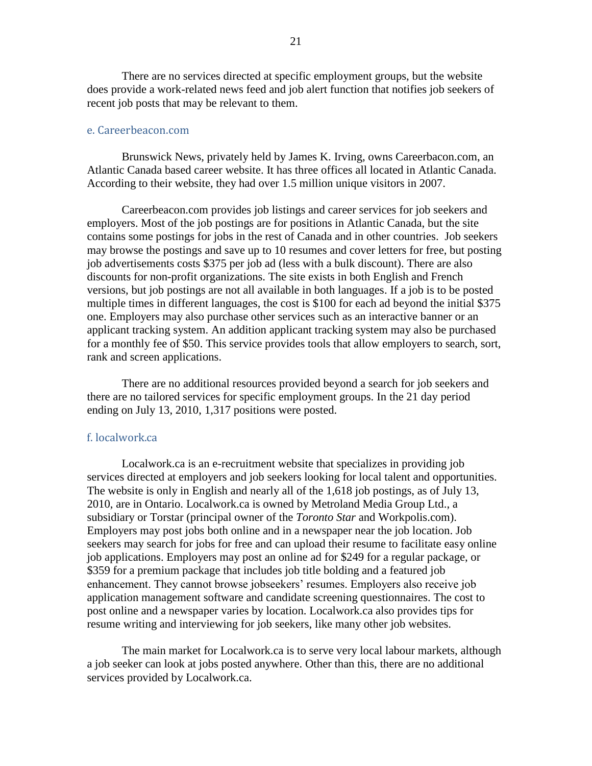There are no services directed at specific employment groups, but the website does provide a work-related news feed and job alert function that notifies job seekers of recent job posts that may be relevant to them.

#### e. Careerbeacon.com

Brunswick News, privately held by James K. Irving, owns Careerbacon.com, an Atlantic Canada based career website. It has three offices all located in Atlantic Canada. According to their website, they had over 1.5 million unique visitors in 2007.

Careerbeacon.com provides job listings and career services for job seekers and employers. Most of the job postings are for positions in Atlantic Canada, but the site contains some postings for jobs in the rest of Canada and in other countries. Job seekers may browse the postings and save up to 10 resumes and cover letters for free, but posting job advertisements costs \$375 per job ad (less with a bulk discount). There are also discounts for non-profit organizations. The site exists in both English and French versions, but job postings are not all available in both languages. If a job is to be posted multiple times in different languages, the cost is \$100 for each ad beyond the initial \$375 one. Employers may also purchase other services such as an interactive banner or an applicant tracking system. An addition applicant tracking system may also be purchased for a monthly fee of \$50. This service provides tools that allow employers to search, sort, rank and screen applications.

There are no additional resources provided beyond a search for job seekers and there are no tailored services for specific employment groups. In the 21 day period ending on July 13, 2010, 1,317 positions were posted.

#### f. localwork.ca

Localwork.ca is an e-recruitment website that specializes in providing job services directed at employers and job seekers looking for local talent and opportunities. The website is only in English and nearly all of the 1,618 job postings, as of July 13, 2010, are in Ontario. Localwork.ca is owned by Metroland Media Group Ltd., a subsidiary or Torstar (principal owner of the *Toronto Star* and Workpolis.com). Employers may post jobs both online and in a newspaper near the job location. Job seekers may search for jobs for free and can upload their resume to facilitate easy online job applications. Employers may post an online ad for \$249 for a regular package, or \$359 for a premium package that includes job title bolding and a featured job enhancement. They cannot browse jobseekers' resumes. Employers also receive job application management software and candidate screening questionnaires. The cost to post online and a newspaper varies by location. Localwork.ca also provides tips for resume writing and interviewing for job seekers, like many other job websites.

The main market for Localwork.ca is to serve very local labour markets, although a job seeker can look at jobs posted anywhere. Other than this, there are no additional services provided by Localwork.ca.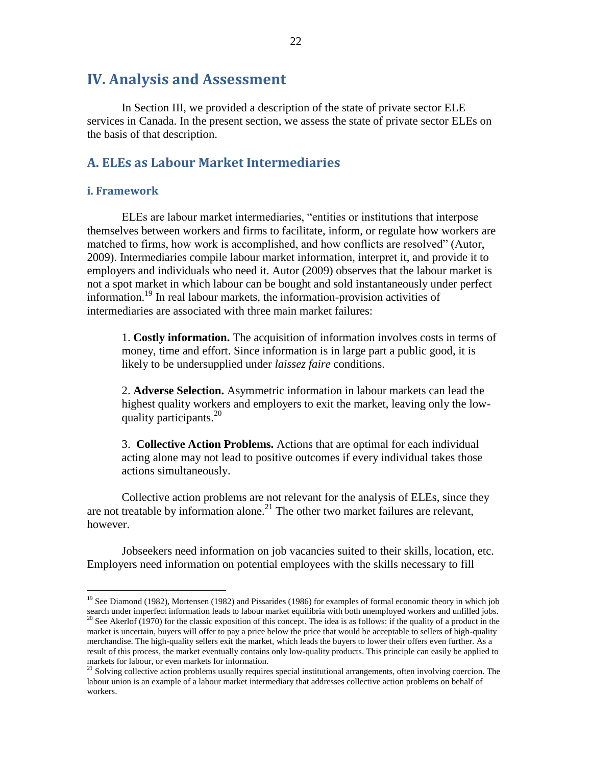# <span id="page-30-0"></span>**IV. Analysis and Assessment**

In Section III, we provided a description of the state of private sector ELE services in Canada. In the present section, we assess the state of private sector ELEs on the basis of that description.

#### <span id="page-30-1"></span>**A. ELEs as Labour Market Intermediaries**

#### <span id="page-30-2"></span>**i. Framework**

 $\overline{a}$ 

ELEs are labour market intermediaries, "entities or institutions that interpose themselves between workers and firms to facilitate, inform, or regulate how workers are matched to firms, how work is accomplished, and how conflicts are resolved" (Autor, 2009). Intermediaries compile labour market information, interpret it, and provide it to employers and individuals who need it. Autor (2009) observes that the labour market is not a spot market in which labour can be bought and sold instantaneously under perfect information.<sup>19</sup> In real labour markets, the information-provision activities of intermediaries are associated with three main market failures:

1. **Costly information.** The acquisition of information involves costs in terms of money, time and effort. Since information is in large part a public good, it is likely to be undersupplied under *laissez faire* conditions.

2. **Adverse Selection.** Asymmetric information in labour markets can lead the highest quality workers and employers to exit the market, leaving only the lowquality participants.  $20<sup>20</sup>$ 

3. **Collective Action Problems.** Actions that are optimal for each individual acting alone may not lead to positive outcomes if every individual takes those actions simultaneously.

Collective action problems are not relevant for the analysis of ELEs, since they are not treatable by information alone.<sup>21</sup> The other two market failures are relevant, however.

Jobseekers need information on job vacancies suited to their skills, location, etc. Employers need information on potential employees with the skills necessary to fill

<sup>&</sup>lt;sup>19</sup> See Diamond (1982), Mortensen (1982) and Pissarides (1986) for examples of formal economic theory in which job search under imperfect information leads to labour market equilibria with both unemployed workers and unfilled jobs. <sup>20</sup> See Akerlof (1970) for the classic exposition of this concept. The idea is as follows: if the quality of a product in the

market is uncertain, buyers will offer to pay a price below the price that would be acceptable to sellers of high-quality merchandise. The high-quality sellers exit the market, which leads the buyers to lower their offers even further. As a result of this process, the market eventually contains only low-quality products. This principle can easily be applied to markets for labour, or even markets for information.

<sup>&</sup>lt;sup>21</sup> Solving collective action problems usually requires special institutional arrangements, often involving coercion. The labour union is an example of a labour market intermediary that addresses collective action problems on behalf of workers.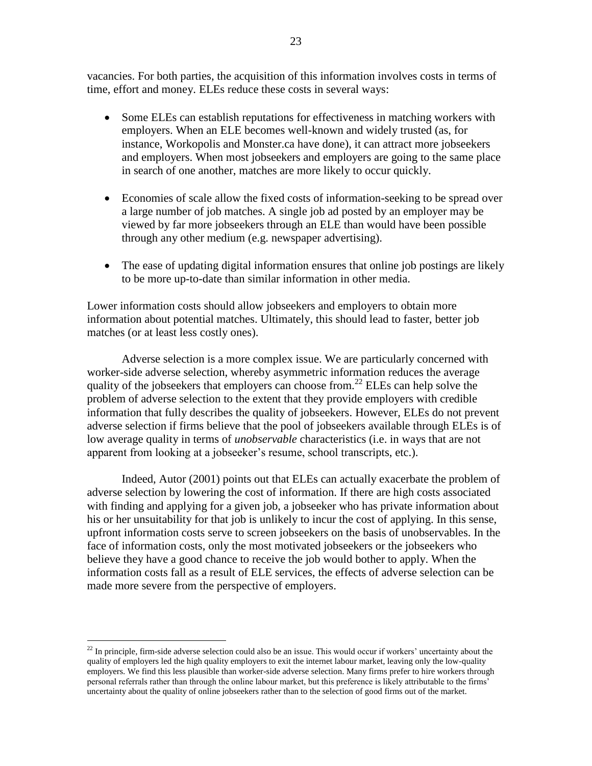vacancies. For both parties, the acquisition of this information involves costs in terms of time, effort and money. ELEs reduce these costs in several ways:

- Some ELEs can establish reputations for effectiveness in matching workers with employers. When an ELE becomes well-known and widely trusted (as, for instance, Workopolis and Monster.ca have done), it can attract more jobseekers and employers. When most jobseekers and employers are going to the same place in search of one another, matches are more likely to occur quickly.
- Economies of scale allow the fixed costs of information-seeking to be spread over a large number of job matches. A single job ad posted by an employer may be viewed by far more jobseekers through an ELE than would have been possible through any other medium (e.g. newspaper advertising).
- The ease of updating digital information ensures that online job postings are likely to be more up-to-date than similar information in other media.

Lower information costs should allow jobseekers and employers to obtain more information about potential matches. Ultimately, this should lead to faster, better job matches (or at least less costly ones).

Adverse selection is a more complex issue. We are particularly concerned with worker-side adverse selection, whereby asymmetric information reduces the average quality of the jobseekers that employers can choose from.<sup>22</sup> ELEs can help solve the problem of adverse selection to the extent that they provide employers with credible information that fully describes the quality of jobseekers. However, ELEs do not prevent adverse selection if firms believe that the pool of jobseekers available through ELEs is of low average quality in terms of *unobservable* characteristics (i.e. in ways that are not apparent from looking at a jobseeker"s resume, school transcripts, etc.).

Indeed, Autor (2001) points out that ELEs can actually exacerbate the problem of adverse selection by lowering the cost of information. If there are high costs associated with finding and applying for a given job, a jobseeker who has private information about his or her unsuitability for that job is unlikely to incur the cost of applying. In this sense, upfront information costs serve to screen jobseekers on the basis of unobservables. In the face of information costs, only the most motivated jobseekers or the jobseekers who believe they have a good chance to receive the job would bother to apply. When the information costs fall as a result of ELE services, the effects of adverse selection can be made more severe from the perspective of employers.

 $^{22}$  In principle, firm-side adverse selection could also be an issue. This would occur if workers' uncertainty about the quality of employers led the high quality employers to exit the internet labour market, leaving only the low-quality employers. We find this less plausible than worker-side adverse selection. Many firms prefer to hire workers through personal referrals rather than through the online labour market, but this preference is likely attributable to the firms" uncertainty about the quality of online jobseekers rather than to the selection of good firms out of the market.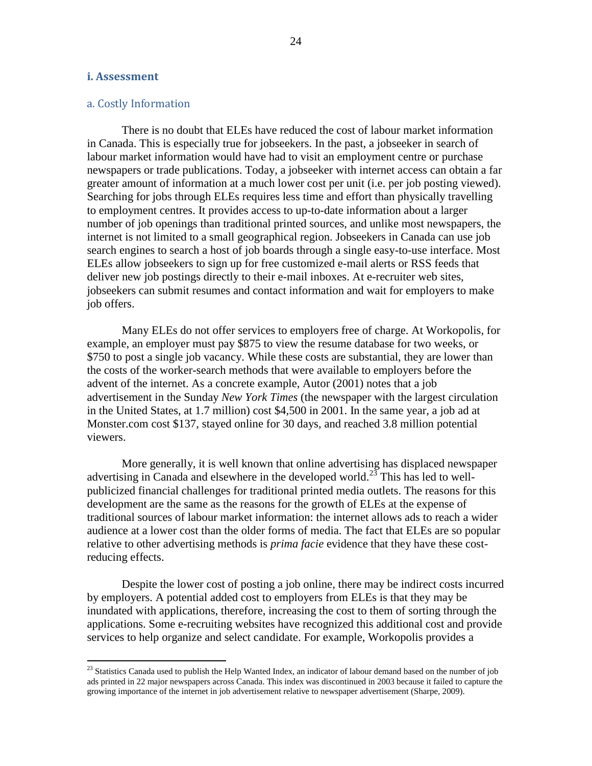#### <span id="page-32-0"></span>**i. Assessment**

 $\overline{a}$ 

#### a. Costly Information

There is no doubt that ELEs have reduced the cost of labour market information in Canada. This is especially true for jobseekers. In the past, a jobseeker in search of labour market information would have had to visit an employment centre or purchase newspapers or trade publications. Today, a jobseeker with internet access can obtain a far greater amount of information at a much lower cost per unit (i.e. per job posting viewed). Searching for jobs through ELEs requires less time and effort than physically travelling to employment centres. It provides access to up-to-date information about a larger number of job openings than traditional printed sources, and unlike most newspapers, the internet is not limited to a small geographical region. Jobseekers in Canada can use job search engines to search a host of job boards through a single easy-to-use interface. Most ELEs allow jobseekers to sign up for free customized e-mail alerts or RSS feeds that deliver new job postings directly to their e-mail inboxes. At e-recruiter web sites, jobseekers can submit resumes and contact information and wait for employers to make job offers.

Many ELEs do not offer services to employers free of charge. At Workopolis, for example, an employer must pay \$875 to view the resume database for two weeks, or \$750 to post a single job vacancy. While these costs are substantial, they are lower than the costs of the worker-search methods that were available to employers before the advent of the internet. As a concrete example, Autor (2001) notes that a job advertisement in the Sunday *New York Times* (the newspaper with the largest circulation in the United States, at 1.7 million) cost \$4,500 in 2001. In the same year, a job ad at Monster.com cost \$137, stayed online for 30 days, and reached 3.8 million potential viewers.

More generally, it is well known that online advertising has displaced newspaper advertising in Canada and elsewhere in the developed world.<sup>23</sup> This has led to wellpublicized financial challenges for traditional printed media outlets. The reasons for this development are the same as the reasons for the growth of ELEs at the expense of traditional sources of labour market information: the internet allows ads to reach a wider audience at a lower cost than the older forms of media. The fact that ELEs are so popular relative to other advertising methods is *prima facie* evidence that they have these costreducing effects.

Despite the lower cost of posting a job online, there may be indirect costs incurred by employers. A potential added cost to employers from ELEs is that they may be inundated with applications, therefore, increasing the cost to them of sorting through the applications. Some e-recruiting websites have recognized this additional cost and provide services to help organize and select candidate. For example, Workopolis provides a

 $23$  Statistics Canada used to publish the Help Wanted Index, an indicator of labour demand based on the number of job ads printed in 22 major newspapers across Canada. This index was discontinued in 2003 because it failed to capture the growing importance of the internet in job advertisement relative to newspaper advertisement (Sharpe, 2009).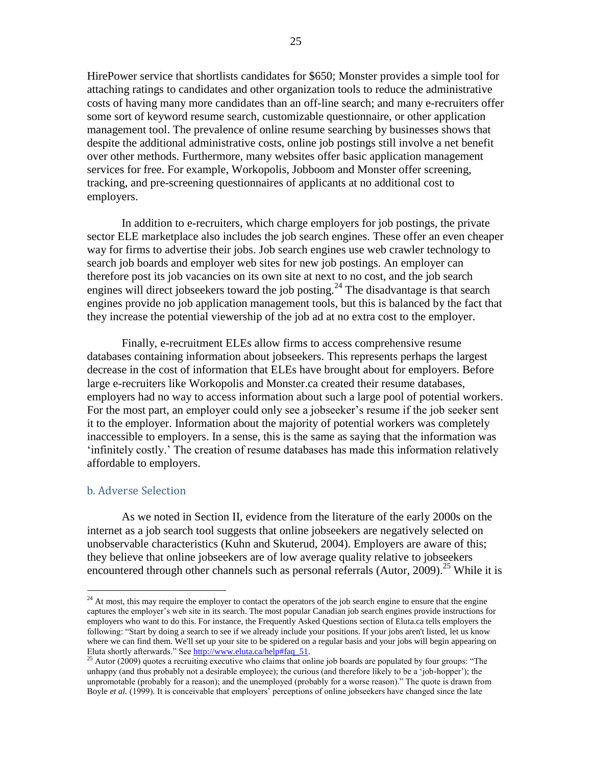HirePower service that shortlists candidates for \$650; Monster provides a simple tool for attaching ratings to candidates and other organization tools to reduce the administrative costs of having many more candidates than an off-line search; and many e-recruiters offer some sort of keyword resume search, customizable questionnaire, or other application management tool. The prevalence of online resume searching by businesses shows that despite the additional administrative costs, online job postings still involve a net benefit over other methods. Furthermore, many websites offer basic application management services for free. For example, Workopolis, Jobboom and Monster offer screening, tracking, and pre-screening questionnaires of applicants at no additional cost to employers.

In addition to e-recruiters, which charge employers for job postings, the private sector ELE marketplace also includes the job search engines. These offer an even cheaper way for firms to advertise their jobs. Job search engines use web crawler technology to search job boards and employer web sites for new job postings. An employer can therefore post its job vacancies on its own site at next to no cost, and the job search engines will direct jobseekers toward the job posting.<sup>24</sup> The disadvantage is that search engines provide no job application management tools, but this is balanced by the fact that they increase the potential viewership of the job ad at no extra cost to the employer.

Finally, e-recruitment ELEs allow firms to access comprehensive resume databases containing information about jobseekers. This represents perhaps the largest decrease in the cost of information that ELEs have brought about for employers. Before large e-recruiters like Workopolis and Monster.ca created their resume databases, employers had no way to access information about such a large pool of potential workers. For the most part, an employer could only see a jobseeker's resume if the job seeker sent it to the employer. Information about the majority of potential workers was completely inaccessible to employers. In a sense, this is the same as saying that the information was "infinitely costly." The creation of resume databases has made this information relatively affordable to employers.

#### b. Adverse Selection

 $\overline{a}$ 

As we noted in Section II, evidence from the literature of the early 2000s on the internet as a job search tool suggests that online jobseekers are negatively selected on unobservable characteristics (Kuhn and Skuterud, 2004). Employers are aware of this; they believe that online jobseekers are of low average quality relative to jobseekers encountered through other channels such as personal referrals (Autor, 2009).<sup>25</sup> While it is

<sup>&</sup>lt;sup>24</sup> At most, this may require the employer to contact the operators of the job search engine to ensure that the engine captures the employer"s web site in its search. The most popular Canadian job search engines provide instructions for employers who want to do this. For instance, the Frequently Asked Questions section of Eluta.ca tells employers the following: "Start by doing a search to see if we already include your positions. If your jobs aren't listed, let us know where we can find them. We'll set up your site to be spidered on a regular basis and your jobs will begin appearing on Eluta shortly afterwards." See [http://www.eluta.ca/help#faq\\_51.](http://www.eluta.ca/help#faq_51)

<sup>&</sup>lt;sup>25</sup> Autor (2009) quotes a recruiting executive who claims that online job boards are populated by four groups: "The unhappy (and thus probably not a desirable employee); the curious (and therefore likely to be a "job-hopper"); the unpromotable (probably for a reason); and the unemployed (probably for a worse reason)." The quote is drawn from Boyle *et al.* (1999). It is conceivable that employers' perceptions of online jobseekers have changed since the late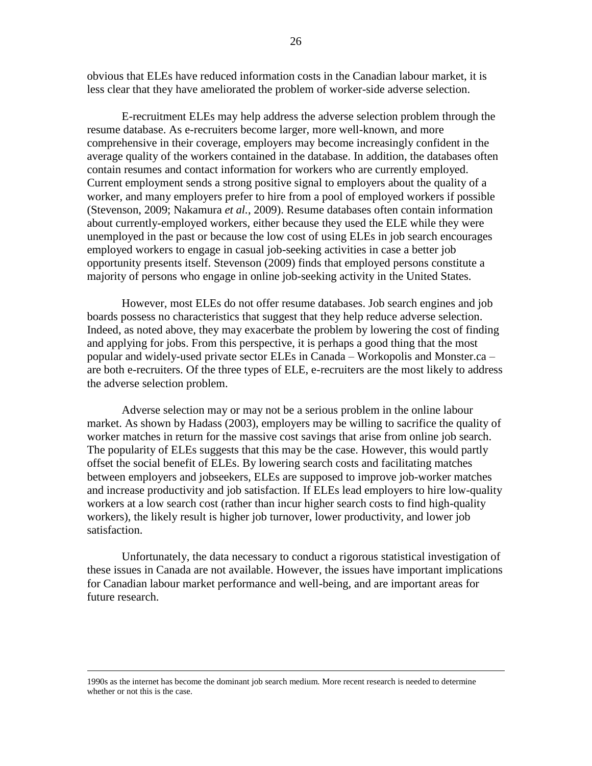26

obvious that ELEs have reduced information costs in the Canadian labour market, it is less clear that they have ameliorated the problem of worker-side adverse selection.

E-recruitment ELEs may help address the adverse selection problem through the resume database. As e-recruiters become larger, more well-known, and more comprehensive in their coverage, employers may become increasingly confident in the average quality of the workers contained in the database. In addition, the databases often contain resumes and contact information for workers who are currently employed. Current employment sends a strong positive signal to employers about the quality of a worker, and many employers prefer to hire from a pool of employed workers if possible (Stevenson, 2009; Nakamura *et al.*, 2009). Resume databases often contain information about currently-employed workers, either because they used the ELE while they were unemployed in the past or because the low cost of using ELEs in job search encourages employed workers to engage in casual job-seeking activities in case a better job opportunity presents itself. Stevenson (2009) finds that employed persons constitute a majority of persons who engage in online job-seeking activity in the United States.

However, most ELEs do not offer resume databases. Job search engines and job boards possess no characteristics that suggest that they help reduce adverse selection. Indeed, as noted above, they may exacerbate the problem by lowering the cost of finding and applying for jobs. From this perspective, it is perhaps a good thing that the most popular and widely-used private sector ELEs in Canada – Workopolis and Monster.ca – are both e-recruiters. Of the three types of ELE, e-recruiters are the most likely to address the adverse selection problem.

Adverse selection may or may not be a serious problem in the online labour market. As shown by Hadass (2003), employers may be willing to sacrifice the quality of worker matches in return for the massive cost savings that arise from online job search. The popularity of ELEs suggests that this may be the case. However, this would partly offset the social benefit of ELEs. By lowering search costs and facilitating matches between employers and jobseekers, ELEs are supposed to improve job-worker matches and increase productivity and job satisfaction. If ELEs lead employers to hire low-quality workers at a low search cost (rather than incur higher search costs to find high-quality workers), the likely result is higher job turnover, lower productivity, and lower job satisfaction.

Unfortunately, the data necessary to conduct a rigorous statistical investigation of these issues in Canada are not available. However, the issues have important implications for Canadian labour market performance and well-being, and are important areas for future research.

1990s as the internet has become the dominant job search medium. More recent research is needed to determine whether or not this is the case.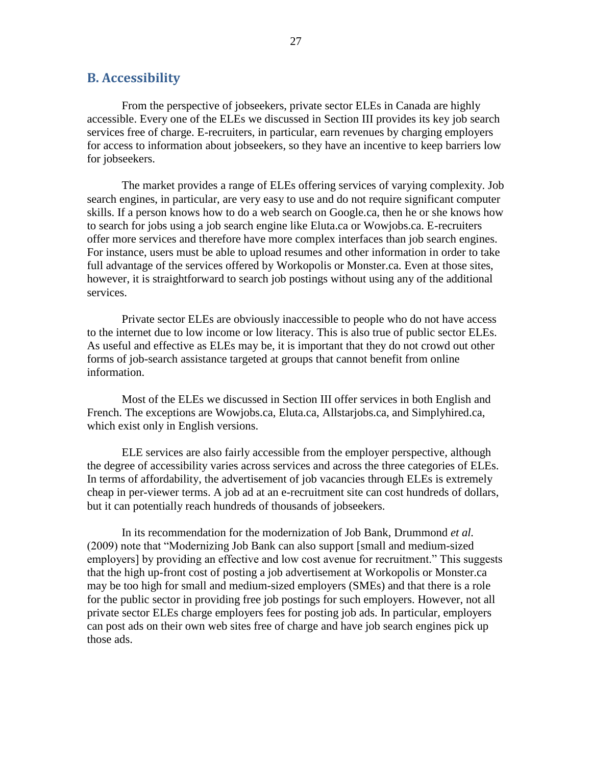#### <span id="page-35-0"></span>**B. Accessibility**

From the perspective of jobseekers, private sector ELEs in Canada are highly accessible. Every one of the ELEs we discussed in Section III provides its key job search services free of charge. E-recruiters, in particular, earn revenues by charging employers for access to information about jobseekers, so they have an incentive to keep barriers low for jobseekers.

The market provides a range of ELEs offering services of varying complexity. Job search engines, in particular, are very easy to use and do not require significant computer skills. If a person knows how to do a web search on Google.ca, then he or she knows how to search for jobs using a job search engine like Eluta.ca or Wowjobs.ca. E-recruiters offer more services and therefore have more complex interfaces than job search engines. For instance, users must be able to upload resumes and other information in order to take full advantage of the services offered by Workopolis or Monster.ca. Even at those sites, however, it is straightforward to search job postings without using any of the additional services.

Private sector ELEs are obviously inaccessible to people who do not have access to the internet due to low income or low literacy. This is also true of public sector ELEs. As useful and effective as ELEs may be, it is important that they do not crowd out other forms of job-search assistance targeted at groups that cannot benefit from online information.

Most of the ELEs we discussed in Section III offer services in both English and French. The exceptions are Wowjobs.ca, Eluta.ca, Allstarjobs.ca, and Simplyhired.ca, which exist only in English versions.

ELE services are also fairly accessible from the employer perspective, although the degree of accessibility varies across services and across the three categories of ELEs. In terms of affordability, the advertisement of job vacancies through ELEs is extremely cheap in per-viewer terms. A job ad at an e-recruitment site can cost hundreds of dollars, but it can potentially reach hundreds of thousands of jobseekers.

In its recommendation for the modernization of Job Bank, Drummond *et al.* (2009) note that "Modernizing Job Bank can also support [small and medium-sized employers] by providing an effective and low cost avenue for recruitment." This suggests that the high up-front cost of posting a job advertisement at Workopolis or Monster.ca may be too high for small and medium-sized employers (SMEs) and that there is a role for the public sector in providing free job postings for such employers. However, not all private sector ELEs charge employers fees for posting job ads. In particular, employers can post ads on their own web sites free of charge and have job search engines pick up those ads.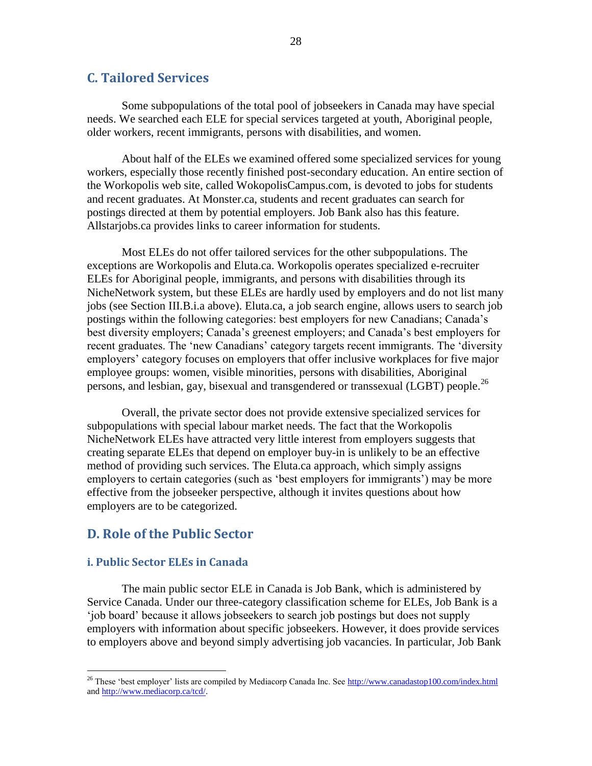#### <span id="page-36-0"></span>**C. Tailored Services**

Some subpopulations of the total pool of jobseekers in Canada may have special needs. We searched each ELE for special services targeted at youth, Aboriginal people, older workers, recent immigrants, persons with disabilities, and women.

About half of the ELEs we examined offered some specialized services for young workers, especially those recently finished post-secondary education. An entire section of the Workopolis web site, called WokopolisCampus.com, is devoted to jobs for students and recent graduates. At Monster.ca, students and recent graduates can search for postings directed at them by potential employers. Job Bank also has this feature. Allstarjobs.ca provides links to career information for students.

Most ELEs do not offer tailored services for the other subpopulations. The exceptions are Workopolis and Eluta.ca. Workopolis operates specialized e-recruiter ELEs for Aboriginal people, immigrants, and persons with disabilities through its NicheNetwork system, but these ELEs are hardly used by employers and do not list many jobs (see Section III.B.i.a above). Eluta.ca, a job search engine, allows users to search job postings within the following categories: best employers for new Canadians; Canada"s best diversity employers; Canada"s greenest employers; and Canada"s best employers for recent graduates. The 'new Canadians' category targets recent immigrants. The 'diversity employers" category focuses on employers that offer inclusive workplaces for five major employee groups: women, visible minorities, persons with disabilities, Aboriginal persons, and lesbian, gay, bisexual and transgendered or transsexual (LGBT) people.<sup>26</sup>

Overall, the private sector does not provide extensive specialized services for subpopulations with special labour market needs. The fact that the Workopolis NicheNetwork ELEs have attracted very little interest from employers suggests that creating separate ELEs that depend on employer buy-in is unlikely to be an effective method of providing such services. The Eluta.ca approach, which simply assigns employers to certain categories (such as 'best employers for immigrants') may be more effective from the jobseeker perspective, although it invites questions about how employers are to be categorized.

#### <span id="page-36-1"></span>**D. Role of the Public Sector**

#### <span id="page-36-2"></span>**i. Public Sector ELEs in Canada**

 $\overline{a}$ 

The main public sector ELE in Canada is Job Bank, which is administered by Service Canada. Under our three-category classification scheme for ELEs, Job Bank is a "job board" because it allows jobseekers to search job postings but does not supply employers with information about specific jobseekers. However, it does provide services to employers above and beyond simply advertising job vacancies. In particular, Job Bank

<sup>&</sup>lt;sup>26</sup> These 'best employer' lists are compiled by Mediacorp Canada Inc. Se[e http://www.canadastop100.com/index.html](http://www.canadastop100.com/index.html) an[d http://www.mediacorp.ca/tcd/.](http://www.mediacorp.ca/tcd/)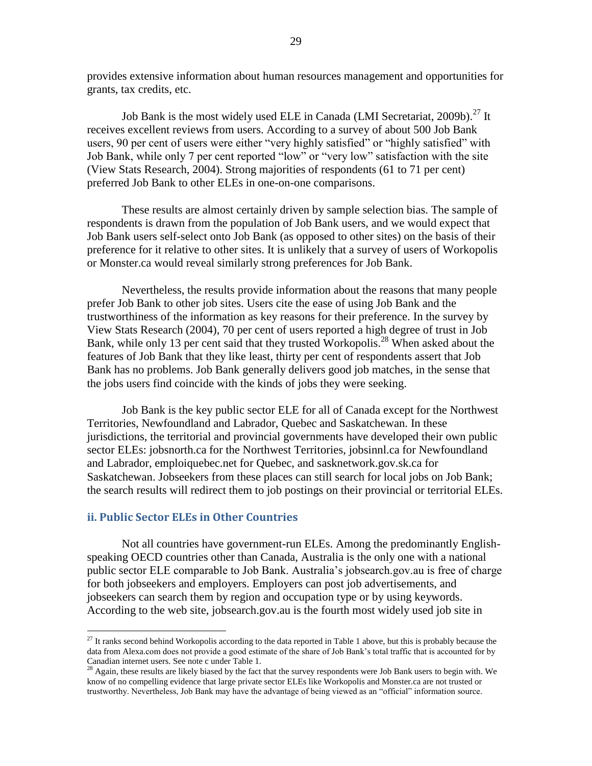provides extensive information about human resources management and opportunities for grants, tax credits, etc.

Job Bank is the most widely used ELE in Canada (LMI Secretariat, 2009b).<sup>27</sup> It receives excellent reviews from users. According to a survey of about 500 Job Bank users, 90 per cent of users were either "very highly satisfied" or "highly satisfied" with Job Bank, while only 7 per cent reported "low" or "very low" satisfaction with the site (View Stats Research, 2004). Strong majorities of respondents (61 to 71 per cent) preferred Job Bank to other ELEs in one-on-one comparisons.

These results are almost certainly driven by sample selection bias. The sample of respondents is drawn from the population of Job Bank users, and we would expect that Job Bank users self-select onto Job Bank (as opposed to other sites) on the basis of their preference for it relative to other sites. It is unlikely that a survey of users of Workopolis or Monster.ca would reveal similarly strong preferences for Job Bank.

Nevertheless, the results provide information about the reasons that many people prefer Job Bank to other job sites. Users cite the ease of using Job Bank and the trustworthiness of the information as key reasons for their preference. In the survey by View Stats Research (2004), 70 per cent of users reported a high degree of trust in Job Bank, while only 13 per cent said that they trusted Workopolis.<sup>28</sup> When asked about the features of Job Bank that they like least, thirty per cent of respondents assert that Job Bank has no problems. Job Bank generally delivers good job matches, in the sense that the jobs users find coincide with the kinds of jobs they were seeking.

Job Bank is the key public sector ELE for all of Canada except for the Northwest Territories, Newfoundland and Labrador, Quebec and Saskatchewan. In these jurisdictions, the territorial and provincial governments have developed their own public sector ELEs: jobsnorth.ca for the Northwest Territories, jobsinnl.ca for Newfoundland and Labrador, emploiquebec.net for Quebec, and sasknetwork.gov.sk.ca for Saskatchewan. Jobseekers from these places can still search for local jobs on Job Bank; the search results will redirect them to job postings on their provincial or territorial ELEs.

#### <span id="page-37-0"></span>**ii. Public Sector ELEs in Other Countries**

 $\overline{a}$ 

Not all countries have government-run ELEs. Among the predominantly Englishspeaking OECD countries other than Canada, Australia is the only one with a national public sector ELE comparable to Job Bank. Australia"s jobsearch.gov.au is free of charge for both jobseekers and employers. Employers can post job advertisements, and jobseekers can search them by region and occupation type or by using keywords. According to the web site, jobsearch.gov.au is the fourth most widely used job site in

 $27$  It ranks second behind Workopolis according to the data reported in Table 1 above, but this is probably because the data from Alexa.com does not provide a good estimate of the share of Job Bank's total traffic that is accounted for by Canadian internet users. See note c under Table 1.

<sup>28</sup> Again, these results are likely biased by the fact that the survey respondents were Job Bank users to begin with. We know of no compelling evidence that large private sector ELEs like Workopolis and Monster.ca are not trusted or trustworthy. Nevertheless, Job Bank may have the advantage of being viewed as an "official" information source.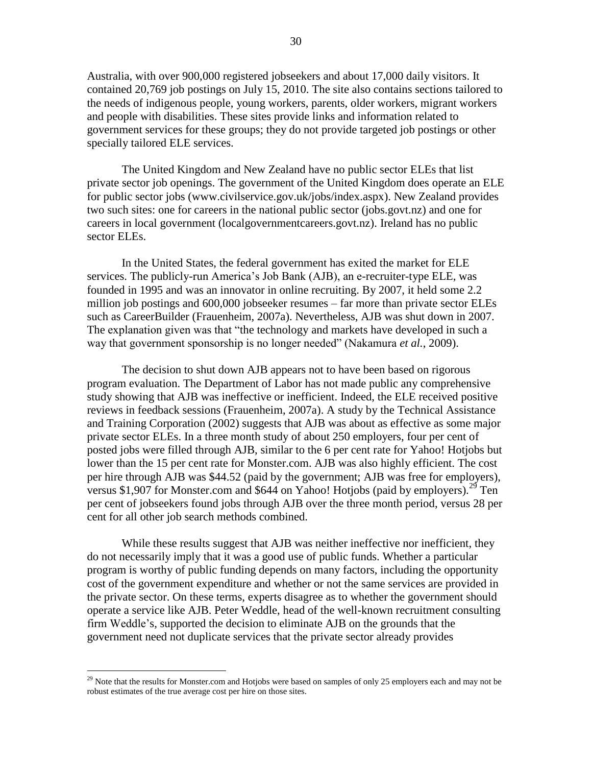Australia, with over 900,000 registered jobseekers and about 17,000 daily visitors. It contained 20,769 job postings on July 15, 2010. The site also contains sections tailored to the needs of indigenous people, young workers, parents, older workers, migrant workers and people with disabilities. These sites provide links and information related to government services for these groups; they do not provide targeted job postings or other specially tailored ELE services.

The United Kingdom and New Zealand have no public sector ELEs that list private sector job openings. The government of the United Kingdom does operate an ELE for public sector jobs (www.civilservice.gov.uk/jobs/index.aspx). New Zealand provides two such sites: one for careers in the national public sector (jobs.govt.nz) and one for careers in local government (localgovernmentcareers.govt.nz). Ireland has no public sector ELEs.

In the United States, the federal government has exited the market for ELE services. The publicly-run America's Job Bank (AJB), an e-recruiter-type ELE, was founded in 1995 and was an innovator in online recruiting. By 2007, it held some 2.2 million job postings and 600,000 jobseeker resumes – far more than private sector ELEs such as CareerBuilder (Frauenheim, 2007a). Nevertheless, AJB was shut down in 2007. The explanation given was that "the technology and markets have developed in such a way that government sponsorship is no longer needed" (Nakamura *et al.*, 2009).

The decision to shut down AJB appears not to have been based on rigorous program evaluation. The Department of Labor has not made public any comprehensive study showing that AJB was ineffective or inefficient. Indeed, the ELE received positive reviews in feedback sessions (Frauenheim, 2007a). A study by the Technical Assistance and Training Corporation (2002) suggests that AJB was about as effective as some major private sector ELEs. In a three month study of about 250 employers, four per cent of posted jobs were filled through AJB, similar to the 6 per cent rate for Yahoo! Hotjobs but lower than the 15 per cent rate for Monster.com. AJB was also highly efficient. The cost per hire through AJB was \$44.52 (paid by the government; AJB was free for employers), versus \$1,907 for Monster.com and \$644 on Yahoo! Hotjobs (paid by employers).<sup>29</sup> Ten per cent of jobseekers found jobs through AJB over the three month period, versus 28 per cent for all other job search methods combined.

While these results suggest that AJB was neither ineffective nor inefficient, they do not necessarily imply that it was a good use of public funds. Whether a particular program is worthy of public funding depends on many factors, including the opportunity cost of the government expenditure and whether or not the same services are provided in the private sector. On these terms, experts disagree as to whether the government should operate a service like AJB. Peter Weddle, head of the well-known recruitment consulting firm Weddle"s, supported the decision to eliminate AJB on the grounds that the government need not duplicate services that the private sector already provides

 $^{29}$  Note that the results for Monster.com and Hotjobs were based on samples of only 25 employers each and may not be robust estimates of the true average cost per hire on those sites.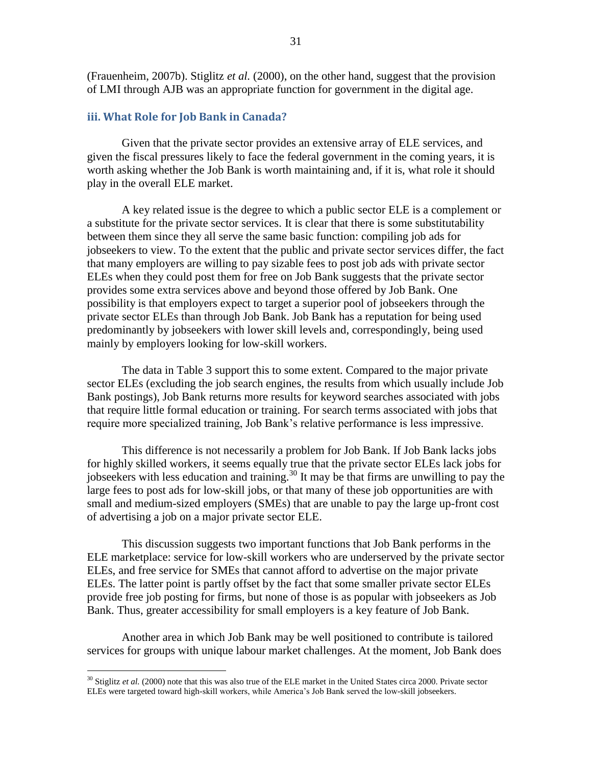(Frauenheim, 2007b). Stiglitz *et al.* (2000), on the other hand, suggest that the provision of LMI through AJB was an appropriate function for government in the digital age.

#### <span id="page-39-0"></span>**iii. What Role for Job Bank in Canada?**

Given that the private sector provides an extensive array of ELE services, and given the fiscal pressures likely to face the federal government in the coming years, it is worth asking whether the Job Bank is worth maintaining and, if it is, what role it should play in the overall ELE market.

A key related issue is the degree to which a public sector ELE is a complement or a substitute for the private sector services. It is clear that there is some substitutability between them since they all serve the same basic function: compiling job ads for jobseekers to view. To the extent that the public and private sector services differ, the fact that many employers are willing to pay sizable fees to post job ads with private sector ELEs when they could post them for free on Job Bank suggests that the private sector provides some extra services above and beyond those offered by Job Bank. One possibility is that employers expect to target a superior pool of jobseekers through the private sector ELEs than through Job Bank. Job Bank has a reputation for being used predominantly by jobseekers with lower skill levels and, correspondingly, being used mainly by employers looking for low-skill workers.

The data in [Table 3](#page-40-1) support this to some extent. Compared to the major private sector ELEs (excluding the job search engines, the results from which usually include Job Bank postings), Job Bank returns more results for keyword searches associated with jobs that require little formal education or training. For search terms associated with jobs that require more specialized training, Job Bank"s relative performance is less impressive.

This difference is not necessarily a problem for Job Bank. If Job Bank lacks jobs for highly skilled workers, it seems equally true that the private sector ELEs lack jobs for jobseekers with less education and training.<sup>30</sup> It may be that firms are unwilling to pay the large fees to post ads for low-skill jobs, or that many of these job opportunities are with small and medium-sized employers (SMEs) that are unable to pay the large up-front cost of advertising a job on a major private sector ELE.

This discussion suggests two important functions that Job Bank performs in the ELE marketplace: service for low-skill workers who are underserved by the private sector ELEs, and free service for SMEs that cannot afford to advertise on the major private ELEs. The latter point is partly offset by the fact that some smaller private sector ELEs provide free job posting for firms, but none of those is as popular with jobseekers as Job Bank. Thus, greater accessibility for small employers is a key feature of Job Bank.

Another area in which Job Bank may be well positioned to contribute is tailored services for groups with unique labour market challenges. At the moment, Job Bank does

<sup>&</sup>lt;sup>30</sup> Stiglitz *et al.* (2000) note that this was also true of the ELE market in the United States circa 2000. Private sector ELEs were targeted toward high-skill workers, while America"s Job Bank served the low-skill jobseekers.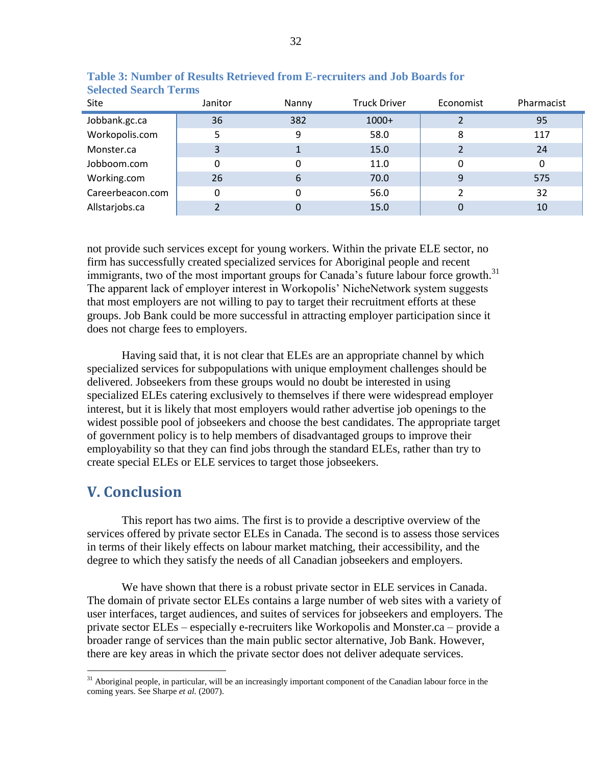| Site             | Janitor | Nanny | <b>Truck Driver</b> | Economist | Pharmacist |
|------------------|---------|-------|---------------------|-----------|------------|
| Jobbank.gc.ca    | 36      | 382   | $1000+$             |           | 95         |
| Workopolis.com   | 5       | 9     | 58.0                | 8         | 117        |
| Monster.ca       | 3       |       | 15.0                |           | 24         |
| Jobboom.com      |         | 0     | 11.0                | 0         | 0          |
| Working.com      | 26      | 6     | 70.0                | 9         | 575        |
| Careerbeacon.com |         | 0     | 56.0                | າ         | 32         |
| Allstarjobs.ca   |         |       | 15.0                |           | 10         |

<span id="page-40-1"></span>**Table 3: Number of Results Retrieved from E-recruiters and Job Boards for Selected Search Terms**

not provide such services except for young workers. Within the private ELE sector, no firm has successfully created specialized services for Aboriginal people and recent immigrants, two of the most important groups for Canada's future labour force growth.<sup>31</sup> The apparent lack of employer interest in Workopolis' NicheNetwork system suggests that most employers are not willing to pay to target their recruitment efforts at these groups. Job Bank could be more successful in attracting employer participation since it does not charge fees to employers.

Having said that, it is not clear that ELEs are an appropriate channel by which specialized services for subpopulations with unique employment challenges should be delivered. Jobseekers from these groups would no doubt be interested in using specialized ELEs catering exclusively to themselves if there were widespread employer interest, but it is likely that most employers would rather advertise job openings to the widest possible pool of jobseekers and choose the best candidates. The appropriate target of government policy is to help members of disadvantaged groups to improve their employability so that they can find jobs through the standard ELEs, rather than try to create special ELEs or ELE services to target those jobseekers.

# <span id="page-40-0"></span>**V. Conclusion**

 $\overline{a}$ 

This report has two aims. The first is to provide a descriptive overview of the services offered by private sector ELEs in Canada. The second is to assess those services in terms of their likely effects on labour market matching, their accessibility, and the degree to which they satisfy the needs of all Canadian jobseekers and employers.

We have shown that there is a robust private sector in ELE services in Canada. The domain of private sector ELEs contains a large number of web sites with a variety of user interfaces, target audiences, and suites of services for jobseekers and employers. The private sector ELEs – especially e-recruiters like Workopolis and Monster.ca – provide a broader range of services than the main public sector alternative, Job Bank. However, there are key areas in which the private sector does not deliver adequate services.

 $31$  Aboriginal people, in particular, will be an increasingly important component of the Canadian labour force in the coming years. See Sharpe et al. (2007).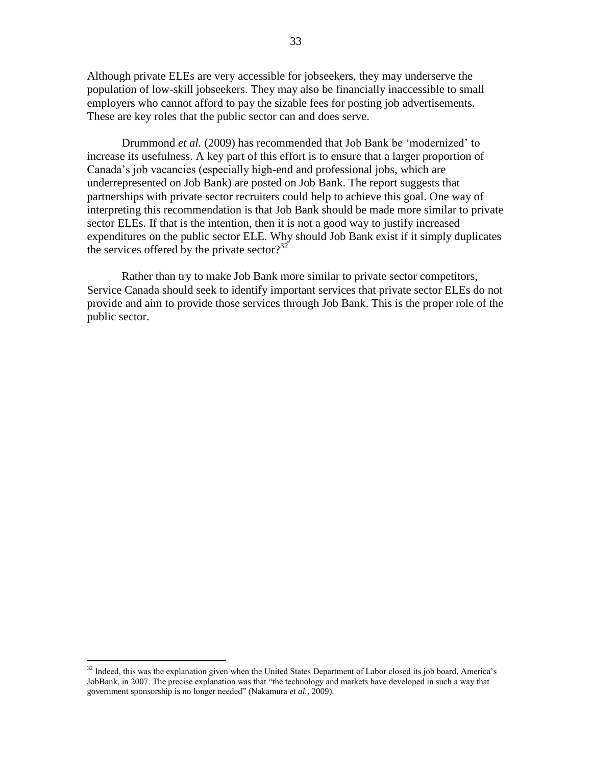Although private ELEs are very accessible for jobseekers, they may underserve the population of low-skill jobseekers. They may also be financially inaccessible to small employers who cannot afford to pay the sizable fees for posting job advertisements. These are key roles that the public sector can and does serve.

Drummond *et al.* (2009) has recommended that Job Bank be "modernized" to increase its usefulness. A key part of this effort is to ensure that a larger proportion of Canada"s job vacancies (especially high-end and professional jobs, which are underrepresented on Job Bank) are posted on Job Bank. The report suggests that partnerships with private sector recruiters could help to achieve this goal. One way of interpreting this recommendation is that Job Bank should be made more similar to private sector ELEs. If that is the intention, then it is not a good way to justify increased expenditures on the public sector ELE. Why should Job Bank exist if it simply duplicates the services offered by the private sector? $32$ 

Rather than try to make Job Bank more similar to private sector competitors, Service Canada should seek to identify important services that private sector ELEs do not provide and aim to provide those services through Job Bank. This is the proper role of the public sector.

 $32$  Indeed, this was the explanation given when the United States Department of Labor closed its job board, America's JobBank, in 2007. The precise explanation was that "the technology and markets have developed in such a way that government sponsorship is no longer needed" (Nakamura *et al.*, 2009).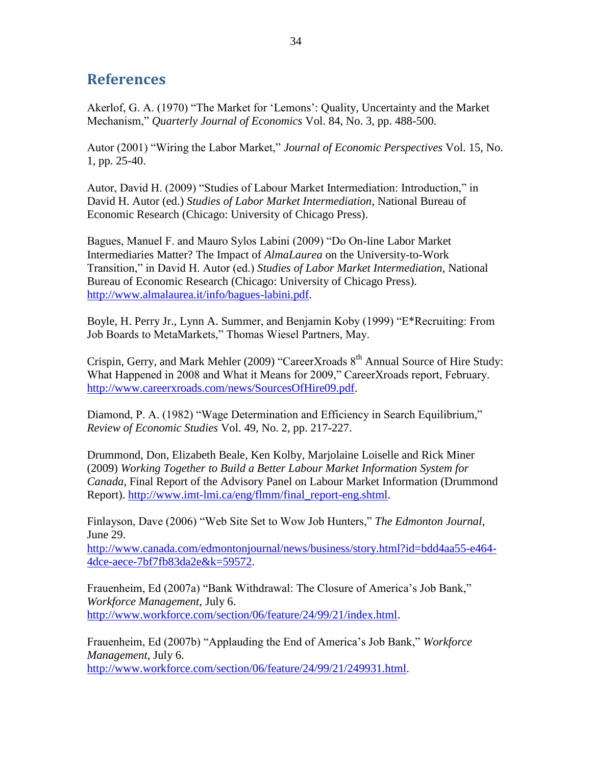# <span id="page-42-0"></span>**References**

Akerlof, G. A. (1970) "The Market for "Lemons": Quality, Uncertainty and the Market Mechanism," *Quarterly Journal of Economics* Vol. 84, No. 3, pp. 488-500.

Autor (2001) "Wiring the Labor Market," *Journal of Economic Perspectives* Vol. 15, No. 1, pp. 25-40.

Autor, David H. (2009) "Studies of Labour Market Intermediation: Introduction," in David H. Autor (ed.) *Studies of Labor Market Intermediation*, National Bureau of Economic Research (Chicago: University of Chicago Press).

Bagues, Manuel F. and Mauro Sylos Labini (2009) "Do On-line Labor Market Intermediaries Matter? The Impact of *AlmaLaurea* on the University-to-Work Transition," in David H. Autor (ed.) *Studies of Labor Market Intermediation*, National Bureau of Economic Research (Chicago: University of Chicago Press). [http://www.almalaurea.it/info/bagues-labini.pdf.](http://www.almalaurea.it/info/bagues-labini.pdf)

Boyle, H. Perry Jr., Lynn A. Summer, and Benjamin Koby (1999) "E\*Recruiting: From Job Boards to MetaMarkets," Thomas Wiesel Partners, May.

Crispin, Gerry, and Mark Mehler (2009) "CareerXroads  $8<sup>th</sup>$  Annual Source of Hire Study: What Happened in 2008 and What it Means for 2009," CareerXroads report, February. [http://www.careerxroads.com/news/SourcesOfHire09.pdf.](http://www.careerxroads.com/news/SourcesOfHire09.pdf)

Diamond, P. A. (1982) "Wage Determination and Efficiency in Search Equilibrium," *Review of Economic Studies* Vol. 49, No. 2, pp. 217-227.

Drummond, Don, Elizabeth Beale, Ken Kolby, Marjolaine Loiselle and Rick Miner (2009) *Working Together to Build a Better Labour Market Information System for Canada*, Final Report of the Advisory Panel on Labour Market Information (Drummond Report). [http://www.imt-lmi.ca/eng/flmm/final\\_report-eng.shtml.](http://www.imt-lmi.ca/eng/flmm/final_report-eng.shtml)

Finlayson, Dave (2006) "Web Site Set to Wow Job Hunters," *The Edmonton Journal*, June 29.

[http://www.canada.com/edmontonjournal/news/business/story.html?id=bdd4aa55-e464-](http://www.canada.com/edmontonjournal/news/business/story.html?id=bdd4aa55-e464-4dce-aece-7bf7fb83da2e&k=59572) [4dce-aece-7bf7fb83da2e&k=59572.](http://www.canada.com/edmontonjournal/news/business/story.html?id=bdd4aa55-e464-4dce-aece-7bf7fb83da2e&k=59572)

Frauenheim, Ed (2007a) "Bank Withdrawal: The Closure of America's Job Bank," *Workforce Management*, July 6. [http://www.workforce.com/section/06/feature/24/99/21/index.html.](http://www.workforce.com/section/06/feature/24/99/21/index.html)

Frauenheim, Ed (2007b) "Applauding the End of America"s Job Bank," *Workforce Management*, July 6. [http://www.workforce.com/section/06/feature/24/99/21/249931.html.](http://www.workforce.com/section/06/feature/24/99/21/249931.html)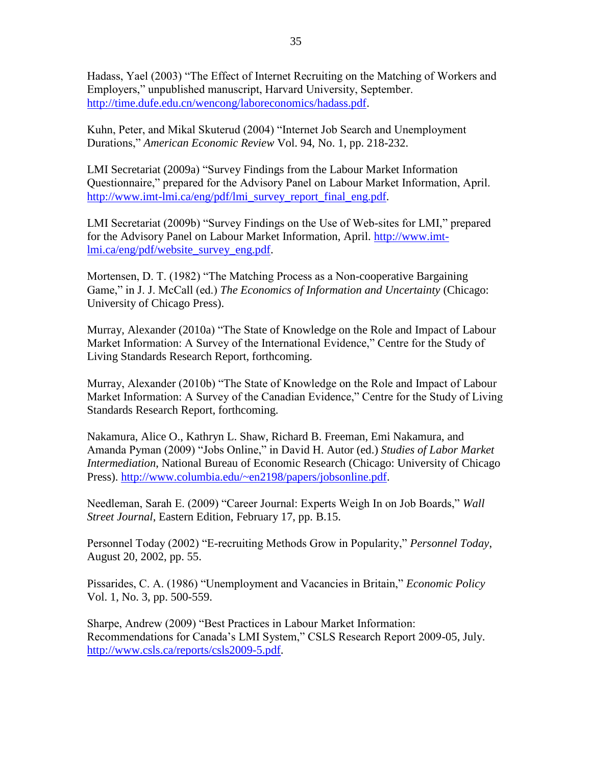Hadass, Yael (2003) "The Effect of Internet Recruiting on the Matching of Workers and Employers," unpublished manuscript, Harvard University, September. [http://time.dufe.edu.cn/wencong/laboreconomics/hadass.pdf.](http://time.dufe.edu.cn/wencong/laboreconomics/hadass.pdf)

Kuhn, Peter, and Mikal Skuterud (2004) "Internet Job Search and Unemployment Durations," *American Economic Review* Vol. 94, No. 1, pp. 218-232.

LMI Secretariat (2009a) "Survey Findings from the Labour Market Information Questionnaire," prepared for the Advisory Panel on Labour Market Information, April. [http://www.imt-lmi.ca/eng/pdf/lmi\\_survey\\_report\\_final\\_eng.pdf.](http://www.imt-lmi.ca/eng/pdf/lmi_survey_report_final_eng.pdf)

LMI Secretariat (2009b) "Survey Findings on the Use of Web-sites for LMI," prepared for the Advisory Panel on Labour Market Information, April. [http://www.imt](http://www.imt-lmi.ca/eng/pdf/website_survey_eng.pdf)[lmi.ca/eng/pdf/website\\_survey\\_eng.pdf.](http://www.imt-lmi.ca/eng/pdf/website_survey_eng.pdf)

Mortensen, D. T. (1982) "The Matching Process as a Non-cooperative Bargaining Game," in J. J. McCall (ed.) *The Economics of Information and Uncertainty* (Chicago: University of Chicago Press).

Murray, Alexander (2010a) "The State of Knowledge on the Role and Impact of Labour Market Information: A Survey of the International Evidence," Centre for the Study of Living Standards Research Report, forthcoming.

Murray, Alexander (2010b) "The State of Knowledge on the Role and Impact of Labour Market Information: A Survey of the Canadian Evidence," Centre for the Study of Living Standards Research Report, forthcoming.

Nakamura, Alice O., Kathryn L. Shaw, Richard B. Freeman, Emi Nakamura, and Amanda Pyman (2009) "Jobs Online," in David H. Autor (ed.) *Studies of Labor Market Intermediation*, National Bureau of Economic Research (Chicago: University of Chicago Press). [http://www.columbia.edu/~en2198/papers/jobsonline.pdf.](http://www.columbia.edu/~en2198/papers/jobsonline.pdf)

Needleman, Sarah E. (2009) "Career Journal: Experts Weigh In on Job Boards," *Wall Street Journal*, Eastern Edition, February 17, pp. B.15.

Personnel Today (2002) "E-recruiting Methods Grow in Popularity," *Personnel Today*, August 20, 2002, pp. 55.

Pissarides, C. A. (1986) "Unemployment and Vacancies in Britain," *Economic Policy* Vol. 1, No. 3, pp. 500-559.

Sharpe, Andrew (2009) "Best Practices in Labour Market Information: Recommendations for Canada"s LMI System," CSLS Research Report 2009-05, July. [http://www.csls.ca/reports/csls2009-5.pdf.](http://www.csls.ca/reports/csls2009-5.pdf)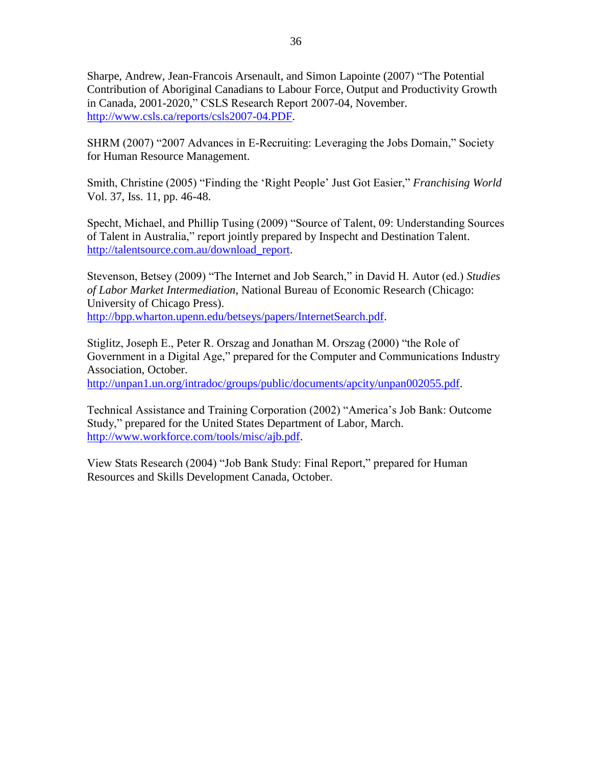Sharpe, Andrew, Jean-Francois Arsenault, and Simon Lapointe (2007) "The Potential Contribution of Aboriginal Canadians to Labour Force, Output and Productivity Growth in Canada, 2001-2020," CSLS Research Report 2007-04, November. [http://www.csls.ca/reports/csls2007-04.PDF.](http://www.csls.ca/reports/csls2007-04.PDF)

SHRM (2007) "2007 Advances in E-Recruiting: Leveraging the Jobs Domain," Society for Human Resource Management.

Smith, Christine (2005) "Finding the "Right People" Just Got Easier," *Franchising World* Vol. 37, Iss. 11, pp. 46-48.

Specht, Michael, and Phillip Tusing (2009) "Source of Talent, 09: Understanding Sources of Talent in Australia," report jointly prepared by Inspecht and Destination Talent. [http://talentsource.com.au/download\\_report.](http://talentsource.com.au/download_report)

Stevenson, Betsey (2009) "The Internet and Job Search," in David H. Autor (ed.) *Studies of Labor Market Intermediation*, National Bureau of Economic Research (Chicago: University of Chicago Press). [http://bpp.wharton.upenn.edu/betseys/papers/InternetSearch.pdf.](http://bpp.wharton.upenn.edu/betseys/papers/InternetSearch.pdf)

Stiglitz, Joseph E., Peter R. Orszag and Jonathan M. Orszag (2000) "the Role of Government in a Digital Age," prepared for the Computer and Communications Industry Association, October.

[http://unpan1.un.org/intradoc/groups/public/documents/apcity/unpan002055.pdf.](http://unpan1.un.org/intradoc/groups/public/documents/apcity/unpan002055.pdf)

Technical Assistance and Training Corporation (2002) "America"s Job Bank: Outcome Study," prepared for the United States Department of Labor, March. [http://www.workforce.com/tools/misc/ajb.pdf.](http://www.workforce.com/tools/misc/ajb.pdf)

View Stats Research (2004) "Job Bank Study: Final Report," prepared for Human Resources and Skills Development Canada, October.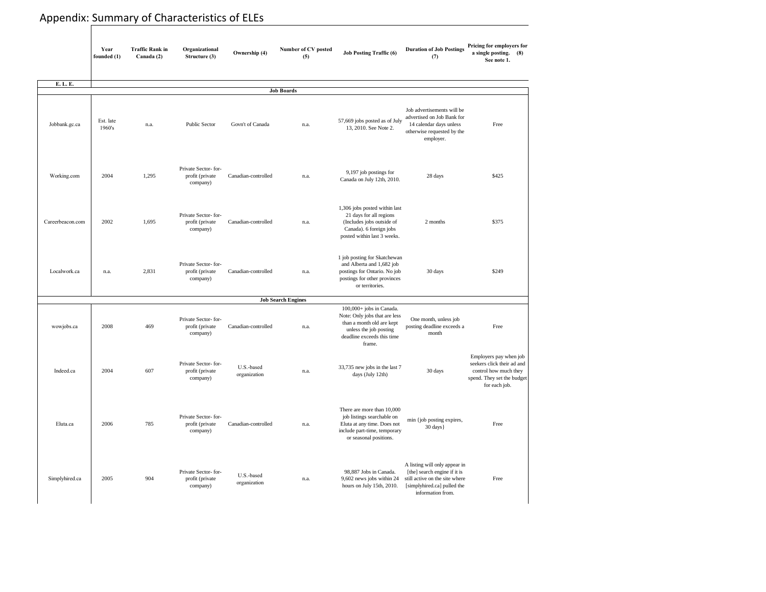# Appendix: Summary of Characteristics of ELEs

|                  | Year<br>founded $(1)$ | <b>Traffic Rank in</b><br>Canada (2) | Organizational<br>Structure (3)                     | <b>Ownership</b> (4)       | <b>Number of CV posted</b><br>(5) | <b>Duration of Job Postings</b><br><b>Job Posting Traffic (6)</b><br>(7)                                                                                 |                                                                                                                                                     | Pricing for employers for<br>a single posting.<br>(8)<br>See note 1.                                                         |
|------------------|-----------------------|--------------------------------------|-----------------------------------------------------|----------------------------|-----------------------------------|----------------------------------------------------------------------------------------------------------------------------------------------------------|-----------------------------------------------------------------------------------------------------------------------------------------------------|------------------------------------------------------------------------------------------------------------------------------|
| E. L. E.         |                       |                                      |                                                     |                            |                                   |                                                                                                                                                          |                                                                                                                                                     |                                                                                                                              |
|                  |                       |                                      |                                                     |                            | <b>Job Boards</b>                 |                                                                                                                                                          |                                                                                                                                                     |                                                                                                                              |
| Jobbank.gc.ca    | Est. late<br>1960's   | n.a.                                 | <b>Public Sector</b>                                | Govn't of Canada           | n.a.                              | 57,669 jobs posted as of July<br>13, 2010. See Note 2.                                                                                                   | Job advertisements will be<br>advertised on Job Bank for<br>14 calendar days unless<br>otherwise requested by the<br>employer.                      | Free                                                                                                                         |
| Working.com      | 2004                  | 1,295                                | Private Sector-for-<br>profit (private<br>company)  | Canadian-controlled        | n.a.                              | 9,197 job postings for<br>Canada on July 12th, 2010.                                                                                                     | 28 days                                                                                                                                             | \$425                                                                                                                        |
| Careerbeacon.com | 2002                  | 1,695                                | Private Sector-for-<br>profit (private)<br>company) | Canadian-controlled        | n.a.                              | 1,306 jobs posted within last<br>21 days for all regions<br>(Includes jobs outside of<br>Canada). 6 foreign jobs<br>posted within last 3 weeks.          | 2 months                                                                                                                                            | \$375                                                                                                                        |
| Localwork.ca     | n.a.                  | 2,831                                | Private Sector-for-<br>profit (private<br>company)  | Canadian-controlled        | n.a.                              | 1 job posting for Skatchewan<br>and Alberta and 1,682 job<br>postings for Ontario. No job<br>postings for other provinces<br>or territories.             | 30 days                                                                                                                                             | \$249                                                                                                                        |
|                  |                       |                                      |                                                     |                            | <b>Job Search Engines</b>         |                                                                                                                                                          |                                                                                                                                                     |                                                                                                                              |
| wowjobs.ca       | 2008                  | 469                                  | Private Sector-for-<br>profit (private<br>company)  | Canadian-controlled        | n.a.                              | 100,000+ jobs in Canada.<br>Note: Only jobs that are less<br>than a month old are kept<br>unless the job posting<br>deadline exceeds this time<br>frame. | One month, unless job<br>posting deadline exceeds a<br>month                                                                                        | Free                                                                                                                         |
| Indeed.ca        | 2004                  | 607                                  | Private Sector-for-<br>profit (private<br>company)  | U.S.-based<br>organization | n.a.                              | 33,735 new jobs in the last 7<br>days (July 12th)                                                                                                        | 30 days                                                                                                                                             | Employers pay when job<br>seekers click their ad and<br>control how much they<br>spend. They set the budget<br>for each job. |
| Eluta.ca         | 2006                  | 785                                  | Private Sector-for-<br>profit (private<br>company)  | Canadian-controlled        | n.a.                              | There are more than 10,000<br>job listings searchable on<br>Eluta at any time. Does not<br>include part-time, temporary<br>or seasonal positions.        | min {job posting expires,<br>$30 \text{ days}$                                                                                                      | Free                                                                                                                         |
| Simplyhired.ca   | 2005                  | 904                                  | Private Sector-for-<br>profit (private<br>company)  | U.S.-based<br>organization | n.a.                              | 98,887 Jobs in Canada.<br>9,602 news jobs within 24<br>hours on July 15th, 2010.                                                                         | A listing will only appear in<br>[the] search engine if it is<br>still active on the site where<br>[simplyhired.ca] pulled the<br>information from. | Free                                                                                                                         |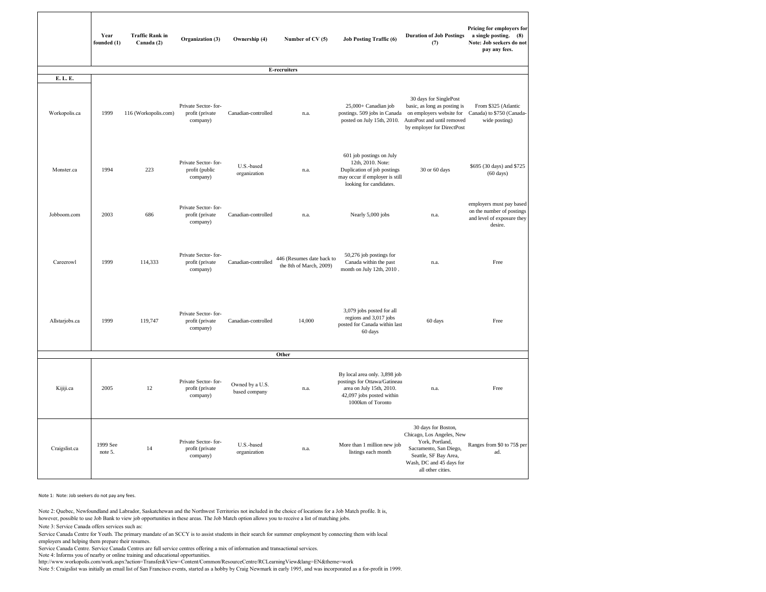| <b>Duration of Job Postings</b><br>(7)                                                                                                                                  | Pricing for employers for<br>a single posting.<br>(8)<br>Note: Job seekers do not<br>pay any fees. |
|-------------------------------------------------------------------------------------------------------------------------------------------------------------------------|----------------------------------------------------------------------------------------------------|
|                                                                                                                                                                         |                                                                                                    |
| 30 days for SinglePost<br>basic, as long as posting is<br>on employers website for<br>AutoPost and until removed<br>by employer for DirectPost                          | From \$325 (Atlantic<br>Canada) to \$750 (Canada-<br>wide posting)                                 |
| 30 or 60 days                                                                                                                                                           | \$695 (30 days) and \$725<br>$(60 \text{ days})$                                                   |
| n.a.                                                                                                                                                                    | employers must pay based<br>on the number of postings<br>and level of exposure they<br>desire.     |
| n.a.                                                                                                                                                                    | Free                                                                                               |
| 60 days                                                                                                                                                                 | Free                                                                                               |
| n.a.                                                                                                                                                                    | Free                                                                                               |
| 30 days for Boston,<br>Chicago, Los Angeles, New<br>York, Portland,<br>Sacramento, San Diego,<br>Seattle, SF Bay Area,<br>Wash, DC and 45 days for<br>all other cities. | Ranges from \$0 to 75\$ per<br>ad.                                                                 |

Note 2: Quebec, Newfoundland and Labrador, Saskatchewan and the Northwest Territories not included in the choice of locations for a Job Match profile. It is, however, possible to use Job Bank to view job opportunities in these areas. The Job Match option allows you to receive a list of matching jobs.

|                           | Year<br>founded $(1)$ | <b>Traffic Rank in</b><br>Canada (2) | Organization (3)                                   | <b>Ownership (4)</b>             | <b>Job Posting Traffic (6)</b><br>Number of CV (5)   |                                                                                                                                             | <b>Duration of Job Postings</b><br>(7)                                                                                                                                  |
|---------------------------|-----------------------|--------------------------------------|----------------------------------------------------|----------------------------------|------------------------------------------------------|---------------------------------------------------------------------------------------------------------------------------------------------|-------------------------------------------------------------------------------------------------------------------------------------------------------------------------|
|                           |                       |                                      |                                                    |                                  | <b>E-recruiters</b>                                  |                                                                                                                                             |                                                                                                                                                                         |
| E. L. E.<br>Workopolis.ca | 1999                  | 116 (Workopolis.com)                 | Private Sector-for-<br>profit (private<br>company) | Canadian-controlled              | n.a.                                                 | 25,000+ Canadian job<br>postings. 509 jobs in Canada<br>posted on July 15th, 2010.                                                          | 30 days for SinglePost<br>basic, as long as posting is<br>on employers website for<br>AutoPost and until removed<br>by employer for DirectPost                          |
| Monster.ca                | 1994                  | 223                                  | Private Sector-for-<br>profit (public<br>company)  | U.S.-based<br>organization       | n.a.                                                 | 601 job postings on July<br>12th, 2010. Note:<br>Duplication of job postings<br>may occur if employer is still<br>looking for candidates.   | 30 or 60 days                                                                                                                                                           |
| Jobboom.com               | 2003                  | 686                                  | Private Sector-for-<br>profit (private<br>company) | Canadian-controlled              | n.a.                                                 | Nearly 5,000 jobs                                                                                                                           | n.a.                                                                                                                                                                    |
| Careerowl                 | 1999                  | 114,333                              | Private Sector-for-<br>profit (private<br>company) | Canadian-controlled              | 446 (Resumes date back to<br>the 8th of March, 2009) | 50,276 job postings for<br>Canada within the past<br>month on July 12th, 2010.                                                              | n.a.                                                                                                                                                                    |
| Allstarjobs.ca            | 1999                  | 119,747                              | Private Sector-for-<br>profit (private<br>company) | Canadian-controlled              | 14,000                                               | 3,079 jobs posted for all<br>regions and 3,017 jobs<br>posted for Canada within last<br>60 days                                             | 60 days                                                                                                                                                                 |
|                           |                       |                                      |                                                    |                                  | <b>Other</b>                                         |                                                                                                                                             |                                                                                                                                                                         |
| Kijiji.ca                 | 2005                  | 12                                   | Private Sector-for-<br>profit (private<br>company) | Owned by a U.S.<br>based company | n.a.                                                 | By local area only. 3,898 job<br>postings for Ottawa/Gatineau<br>area on July 15th, 2010.<br>42,097 jobs posted within<br>1000km of Toronto | n.a.                                                                                                                                                                    |
| Craigslist.ca             | 1999 See<br>note 5.   | 14                                   | Private Sector-for-<br>profit (private<br>company) | U.S.-based<br>organization       | n.a.                                                 | More than 1 million new job<br>listings each month                                                                                          | 30 days for Boston,<br>Chicago, Los Angeles, New<br>York, Portland,<br>Sacramento, San Diego,<br>Seattle, SF Bay Area,<br>Wash, DC and 45 days for<br>all other cities. |

Note 1: Note: Job seekers do not pay any fees.

Service Canada Centre. Service Canada Centres are full service centres offering a mix of information and transactional services.

Note 5: Craigslist was initially an email list of San Francisco events, started as a hobby by Craig Newmark in early 1995, and was incorporated as a for-profit in 1999.

Service Canada Centre for Youth. The primary mandate of an SCCY is to assist students in their search for summer employment by connecting them with local employers and helping them prepare their resumes.

Note 3: Service Canada offers services such as:

Note 4: Informs you of nearby or online training and educational opportunities.

http://www.workopolis.com/work.aspx?action=Transfer&View=Content/Common/ResourceCentre/RCLearningView&lang=EN&theme=work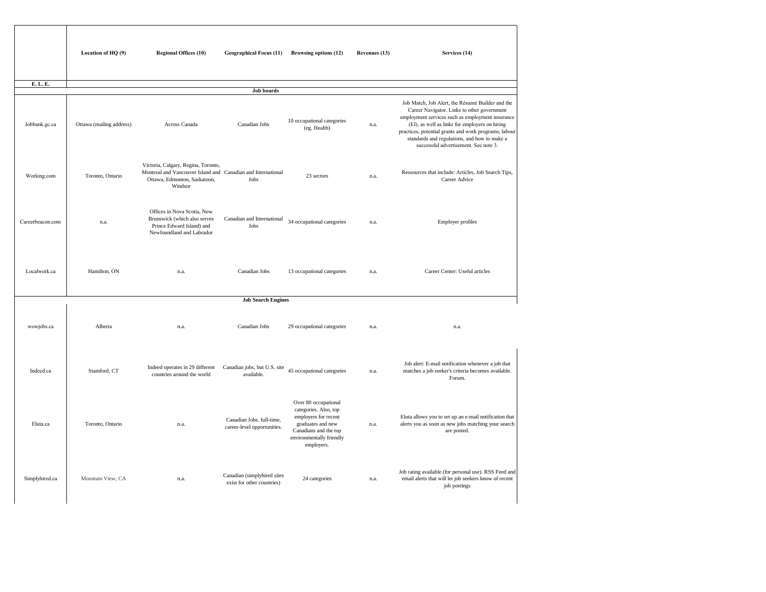|                  | Location of $HQ(9)$      | <b>Regional Offices (10)</b>                                                                                                                   | <b>Geographical Focus (11)</b>                            | <b>Browsing options (12)</b>                                                                                                                                  | <b>Revenues (13)</b> | Services (14)                                                                                                                                                                                                                                                                                   |
|------------------|--------------------------|------------------------------------------------------------------------------------------------------------------------------------------------|-----------------------------------------------------------|---------------------------------------------------------------------------------------------------------------------------------------------------------------|----------------------|-------------------------------------------------------------------------------------------------------------------------------------------------------------------------------------------------------------------------------------------------------------------------------------------------|
| E. L. E.         |                          |                                                                                                                                                |                                                           |                                                                                                                                                               |                      |                                                                                                                                                                                                                                                                                                 |
|                  |                          |                                                                                                                                                | <b>Job boards</b>                                         |                                                                                                                                                               |                      |                                                                                                                                                                                                                                                                                                 |
| Jobbank.gc.ca    | Ottawa (mailing address) | Across Canada                                                                                                                                  | Canadian Jobs                                             | 10 occupational categories<br>(eg. Health)                                                                                                                    | n.a.                 | Job Match, Job Alert, the Résumé Build<br>Career Navigator. Links to other gove<br>employment services such as employmer<br>(EI), as well as links for employers of<br>practices, potential grants and work progr<br>standards and regulations, and how to<br>successful advertisement. See not |
| Working.com      | Toronto, Ontario         | Victoria, Calgary, Regina, Toronto,<br>Montreal and Vancouver Island and Canadian and International<br>Ottawa, Edmonton, Saskatoon,<br>Windsor | Jobs                                                      | 23 sectors                                                                                                                                                    | n.a.                 | Ressources that include: Articles, Job Se<br>Career Advice                                                                                                                                                                                                                                      |
| Careerbeacon.com | n.a.                     | Offices in Nova Scotia, New<br>Brunswick (which also serves<br>Prince Edward Island) and<br>Newfoundland and Labrador                          | Canadian and International<br>Jobs                        | 34 occupational categories                                                                                                                                    | n.a.                 | <b>Employer profiles</b>                                                                                                                                                                                                                                                                        |
| Localwork.ca     | Hamilton, ON             | n.a.                                                                                                                                           | Canadian Jobs                                             | 13 occupational categories                                                                                                                                    | n.a.                 | Career Center: Useful articles                                                                                                                                                                                                                                                                  |
|                  |                          |                                                                                                                                                | <b>Job Search Engines</b>                                 |                                                                                                                                                               |                      |                                                                                                                                                                                                                                                                                                 |
|                  |                          |                                                                                                                                                |                                                           |                                                                                                                                                               |                      |                                                                                                                                                                                                                                                                                                 |
| wowjobs.ca       | Alberta                  | n.a.                                                                                                                                           | Canadian Jobs                                             | 29 occupational categories                                                                                                                                    | n.a.                 | n.a.                                                                                                                                                                                                                                                                                            |
| Indeed.ca        | Stamford, CT             | Indeed operates in 29 different<br>countries around the world                                                                                  | Canadian jobs, but U.S. site<br>available.                | 45 occupational categories                                                                                                                                    | n.a.                 | Job alert: E-mail notification whenever<br>matches a job seeker's criteria becomes<br>Forum.                                                                                                                                                                                                    |
| Eluta.ca         | Toronto, Ontario         | n.a.                                                                                                                                           | Canadian Jobs. full-time,<br>career-level opportunities.  | Over 80 occupational<br>categories. Also, top<br>employers for recent<br>graduates and new<br>Canadians and the top<br>environmentally friendly<br>employers. | n.a.                 | Eluta allows you to set up an e-mail notif<br>alerts you as soon as new jobs matching<br>are posted.                                                                                                                                                                                            |
| Simplyhired.ca   | Mountain View, CA        | n.a.                                                                                                                                           | Canadian (simplyhired sites<br>exist for other countries) | 24 categories                                                                                                                                                 | n.a.                 | Job rating available (for personal use). RS<br>email alerts that will let job seekers know<br>job postings                                                                                                                                                                                      |

| Services (14)                                                                                                                                                                                                                                                                                                                                           |
|---------------------------------------------------------------------------------------------------------------------------------------------------------------------------------------------------------------------------------------------------------------------------------------------------------------------------------------------------------|
|                                                                                                                                                                                                                                                                                                                                                         |
|                                                                                                                                                                                                                                                                                                                                                         |
| Job Match, Job Alert, the Résumé Builder and the<br>Career Navigator. Links to other government<br>employment services such as employment insurance<br>(EI), as well as links for employers on hiring<br>practices, potential grants and work programs, labour<br>standards and regulations, and how to make a<br>successful advertisement. See note 3. |
| Ressources that include: Articles, Job Search Tips,<br><b>Career Advice</b>                                                                                                                                                                                                                                                                             |
| <b>Employer profiles</b>                                                                                                                                                                                                                                                                                                                                |
| Career Center: Useful articles                                                                                                                                                                                                                                                                                                                          |
| n.a.                                                                                                                                                                                                                                                                                                                                                    |
| Job alert: E-mail notification whenever a job that<br>matches a job seeker's criteria becomes available.<br>Forum.                                                                                                                                                                                                                                      |
| Eluta allows you to set up an e-mail notification that<br>alerts you as soon as new jobs matching your search<br>are posted.                                                                                                                                                                                                                            |
| Job rating available (for personal use). RSS Feed and<br>email alerts that will let job seekers know of recent<br>job postings                                                                                                                                                                                                                          |